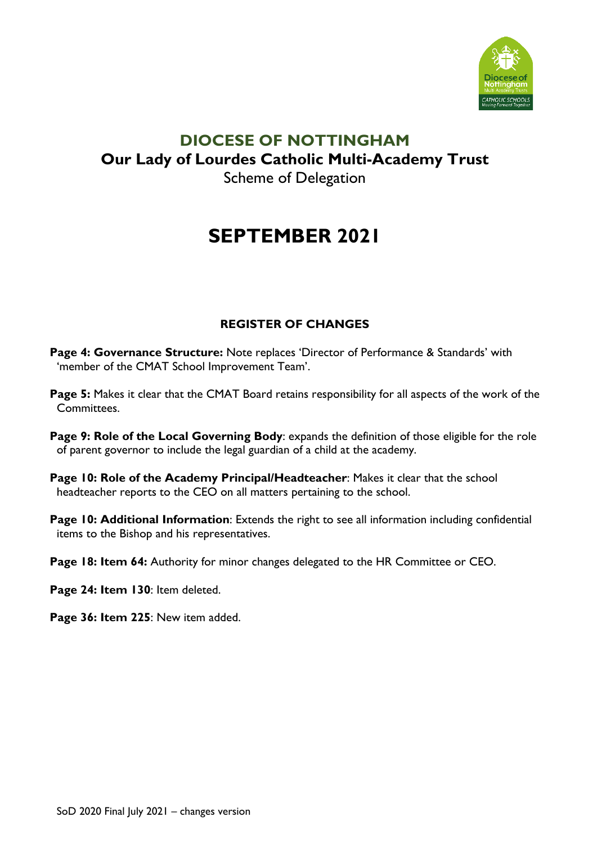

### **DIOCESE OF NOTTINGHAM Our Lady of Lourdes Catholic Multi-Academy Trust** Scheme of Delegation

# **SEPTEMBER 2021**

#### **REGISTER OF CHANGES**

- **Page 4: Governance Structure:** Note replaces 'Director of Performance & Standards' with 'member of the CMAT School Improvement Team'.
- **Page 5:** Makes it clear that the CMAT Board retains responsibility for all aspects of the work of the Committees.
- **Page 9: Role of the Local Governing Body**: expands the definition of those eligible for the role of parent governor to include the legal guardian of a child at the academy.
- **Page 10: Role of the Academy Principal/Headteacher**: Makes it clear that the school headteacher reports to the CEO on all matters pertaining to the school.
- **Page 10: Additional Information**: Extends the right to see all information including confidential items to the Bishop and his representatives.
- **Page 18: Item 64:** Authority for minor changes delegated to the HR Committee or CEO.
- **Page 24: Item 130**: Item deleted.
- **Page 36: Item 225**: New item added.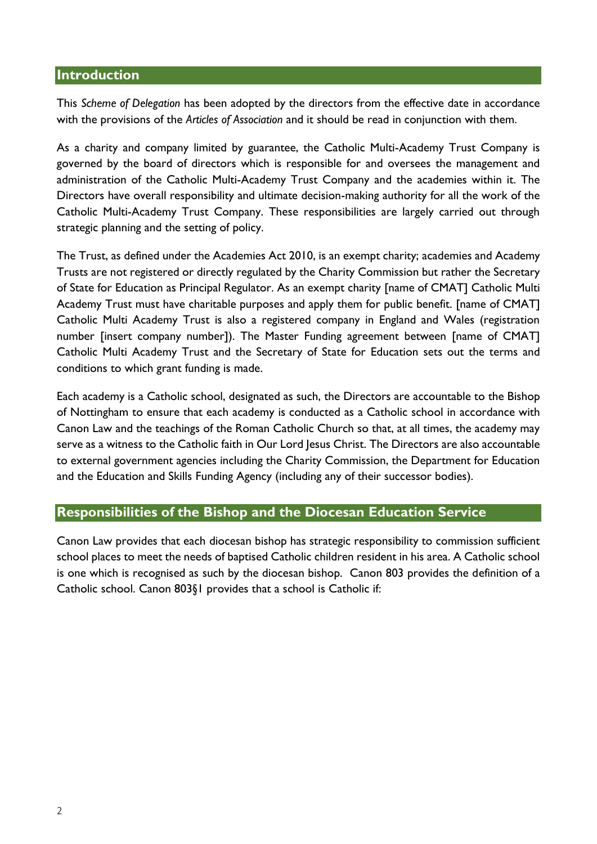#### **Introduction**

This *Scheme of Delegation* has been adopted by the directors from the effective date in accordance with the provisions of the *Articles of Association* and it should be read in conjunction with them.

As a charity and company limited by guarantee, the Catholic Multi-Academy Trust Company is governed by the board of directors which is responsible for and oversees the management and administration of the Catholic Multi-Academy Trust Company and the academies within it. The Directors have overall responsibility and ultimate decision-making authority for all the work of the Catholic Multi-Academy Trust Company. These responsibilities are largely carried out through strategic planning and the setting of policy.

The Trust, as defined under the Academies Act 2010, is an exempt charity; academies and Academy Trusts are not registered or directly regulated by the Charity Commission but rather the Secretary of State for Education as Principal Regulator. As an exempt charity [name of CMAT] Catholic Multi Academy Trust must have charitable purposes and apply them for public benefit. [name of CMAT] Catholic Multi Academy Trust is also a registered company in England and Wales (registration number [insert company number]). The Master Funding agreement between [name of CMAT] Catholic Multi Academy Trust and the Secretary of State for Education sets out the terms and conditions to which grant funding is made.

Each academy is a Catholic school, designated as such, the Directors are accountable to the Bishop of Nottingham to ensure that each academy is conducted as a Catholic school in accordance with Canon Law and the teachings of the Roman Catholic Church so that, at all times, the academy may serve as a witness to the Catholic faith in Our Lord Jesus Christ. The Directors are also accountable to external government agencies including the Charity Commission, the Department for Education and the Education and Skills Funding Agency (including any of their successor bodies).

#### **Responsibilities of the Bishop and the Diocesan Education Service**

Canon Law provides that each diocesan bishop has strategic responsibility to commission sufficient school places to meet the needs of baptised Catholic children resident in his area. A Catholic school is one which is recognised as such by the diocesan bishop. Canon 803 provides the definition of a Catholic school. Canon 803§1 provides that a school is Catholic if: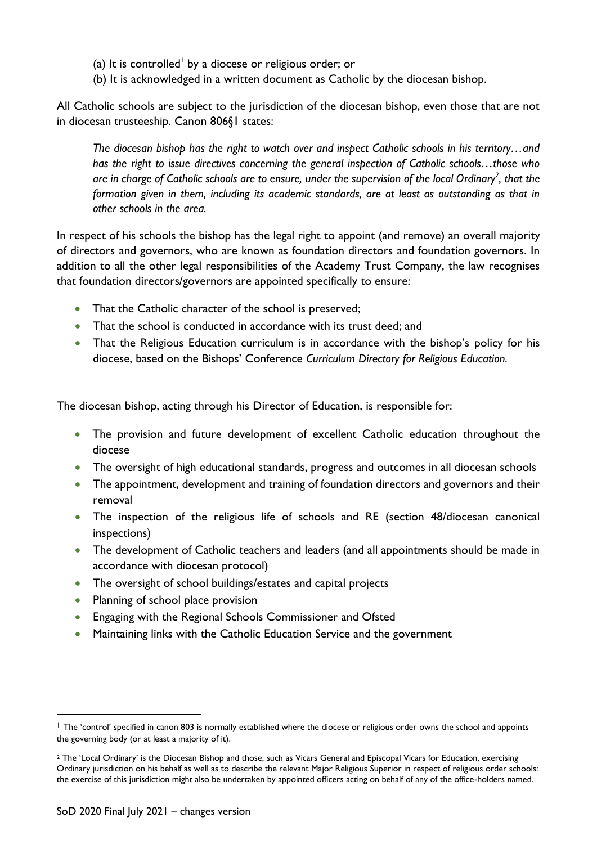- (a) It is controlled<sup>1</sup> by a diocese or religious order; or
- (b) It is acknowledged in a written document as Catholic by the diocesan bishop.

All Catholic schools are subject to the jurisdiction of the diocesan bishop, even those that are not in diocesan trusteeship. Canon 806§1 states:

*The diocesan bishop has the right to watch over and inspect Catholic schools in his territory…and has the right to issue directives concerning the general inspection of Catholic schools…those who are in charge of Catholic schools are to ensure, under the supervision of the local Ordinary<sup>2</sup> , that the formation given in them, including its academic standards, are at least as outstanding as that in other schools in the area.* 

In respect of his schools the bishop has the legal right to appoint (and remove) an overall majority of directors and governors, who are known as foundation directors and foundation governors. In addition to all the other legal responsibilities of the Academy Trust Company, the law recognises that foundation directors/governors are appointed specifically to ensure:

- That the Catholic character of the school is preserved;
- That the school is conducted in accordance with its trust deed; and
- That the Religious Education curriculum is in accordance with the bishop's policy for his diocese, based on the Bishops' Conference *Curriculum Directory for Religious Education.*

The diocesan bishop, acting through his Director of Education, is responsible for:

- The provision and future development of excellent Catholic education throughout the diocese
- The oversight of high educational standards, progress and outcomes in all diocesan schools
- The appointment, development and training of foundation directors and governors and their removal
- The inspection of the religious life of schools and RE (section 48/diocesan canonical inspections)
- The development of Catholic teachers and leaders (and all appointments should be made in accordance with diocesan protocol)
- The oversight of school buildings/estates and capital projects
- Planning of school place provision
- Engaging with the Regional Schools Commissioner and Ofsted
- Maintaining links with the Catholic Education Service and the government

<sup>&</sup>lt;sup>1</sup> The 'control' specified in canon 803 is normally established where the diocese or religious order owns the school and appoints the governing body (or at least a majority of it).

<sup>&</sup>lt;sup>2</sup> The 'Local Ordinary' is the Diocesan Bishop and those, such as Vicars General and Episcopal Vicars for Education, exercising Ordinary jurisdiction on his behalf as well as to describe the relevant Major Religious Superior in respect of religious order schools: the exercise of this jurisdiction might also be undertaken by appointed officers acting on behalf of any of the office-holders named.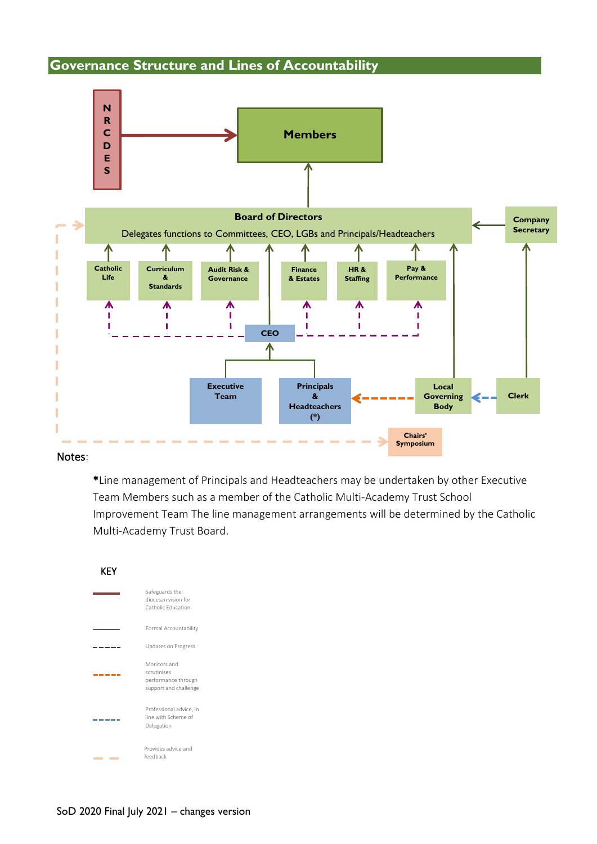#### **Governance Structure and Lines of Accountability**



#### Notes:

\*Line management of Principals and Headteachers may be undertaken by other Executive Team Members such as a member of the Catholic Multi-Academy Trust School Improvement Team The line management arrangements will be determined by the Catholic Multi-Academy Trust Board.

#### KEY

| Safeguards the<br>diocesan vision for<br>Catholic Education                 |
|-----------------------------------------------------------------------------|
| Formal Accountability                                                       |
| Updates on Progress                                                         |
| Monitors and<br>scrutinises<br>performance through<br>support and challenge |
| Professional advice, in<br>line with Scheme of<br>Delegation                |
| Provides advice and<br>feedback                                             |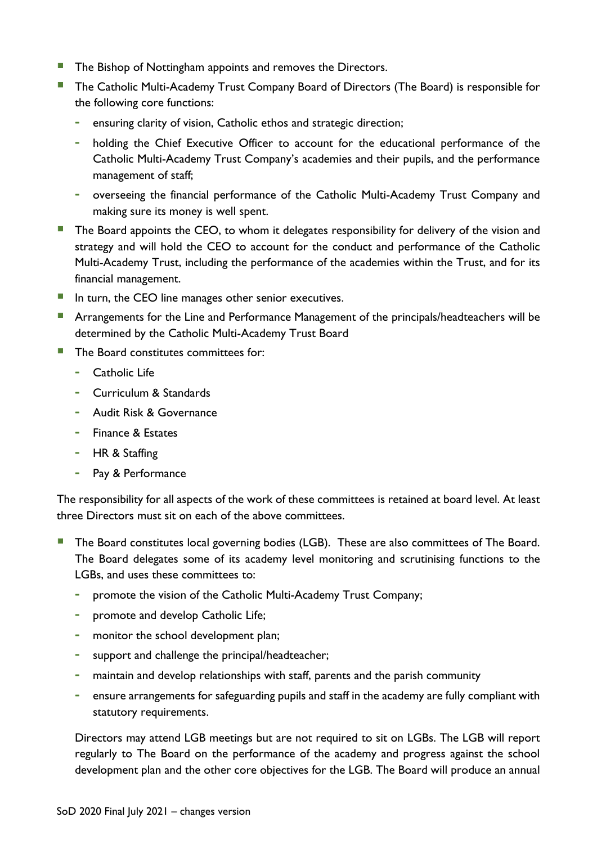- **The Bishop of Nottingham appoints and removes the Directors.**
- **The Catholic Multi-Academy Trust Company Board of Directors (The Board) is responsible for** the following core functions:
	- **-** ensuring clarity of vision, Catholic ethos and strategic direction;
	- **-** holding the Chief Executive Officer to account for the educational performance of the Catholic Multi-Academy Trust Company's academies and their pupils, and the performance management of staff;
	- **-** overseeing the financial performance of the Catholic Multi-Academy Trust Company and making sure its money is well spent.
- The Board appoints the CEO, to whom it delegates responsibility for delivery of the vision and strategy and will hold the CEO to account for the conduct and performance of the Catholic Multi-Academy Trust, including the performance of the academies within the Trust, and for its financial management.
- **IF** In turn, the CEO line manages other senior executives.
- **E** Arrangements for the Line and Performance Management of the principals/headteachers will be determined by the Catholic Multi-Academy Trust Board
- $\blacksquare$  The Board constitutes committees for:
	- **-** Catholic Life
	- **-** Curriculum & Standards
	- **-** Audit Risk & Governance
	- **-** Finance & Estates
	- **-** HR & Staffing
	- **-** Pay & Performance

The responsibility for all aspects of the work of these committees is retained at board level. At least three Directors must sit on each of the above committees.

- **The Board constitutes local governing bodies (LGB). These are also committees of The Board.** The Board delegates some of its academy level monitoring and scrutinising functions to the LGBs, and uses these committees to:
	- **-** promote the vision of the Catholic Multi-Academy Trust Company;
	- **-** promote and develop Catholic Life;
	- **-** monitor the school development plan;
	- **-** support and challenge the principal/headteacher;
	- **-** maintain and develop relationships with staff, parents and the parish community
	- **-** ensure arrangements for safeguarding pupils and staff in the academy are fully compliant with statutory requirements.

Directors may attend LGB meetings but are not required to sit on LGBs. The LGB will report regularly to The Board on the performance of the academy and progress against the school development plan and the other core objectives for the LGB. The Board will produce an annual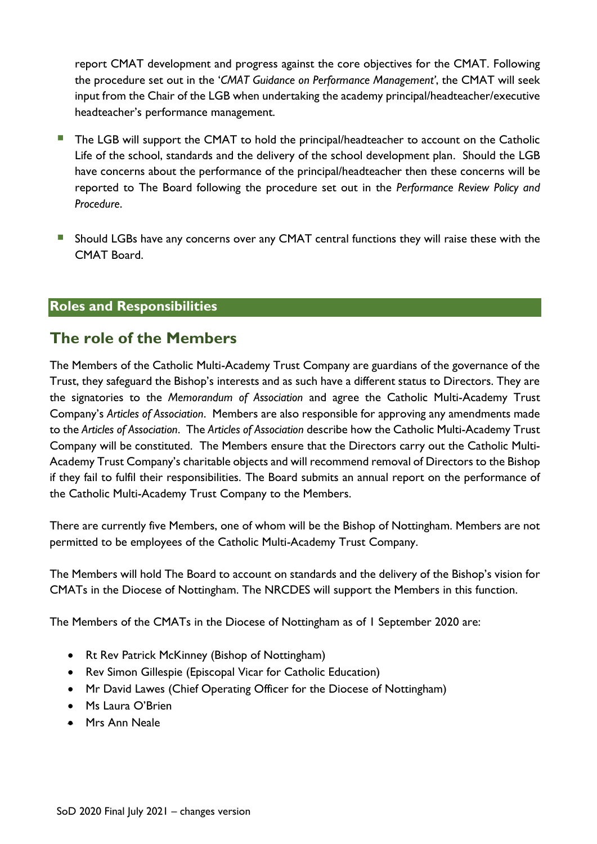report CMAT development and progress against the core objectives for the CMAT. Following the procedure set out in the '*CMAT Guidance on Performance Management'*, the CMAT will seek input from the Chair of the LGB when undertaking the academy principal/headteacher/executive headteacher's performance management.

- The LGB will support the CMAT to hold the principal/headteacher to account on the Catholic Life of the school, standards and the delivery of the school development plan. Should the LGB have concerns about the performance of the principal/headteacher then these concerns will be reported to The Board following the procedure set out in the *Performance Review Policy and Procedure*.
- **EXT** Should LGBs have any concerns over any CMAT central functions they will raise these with the CMAT Board.

#### **Roles and Responsibilities**

#### **The role of the Members**

The Members of the Catholic Multi-Academy Trust Company are guardians of the governance of the Trust, they safeguard the Bishop's interests and as such have a different status to Directors. They are the signatories to the *Memorandum of Association* and agree the Catholic Multi-Academy Trust Company's *Articles of Association*. Members are also responsible for approving any amendments made to the *Articles of Association*. The *Articles of Association* describe how the Catholic Multi-Academy Trust Company will be constituted. The Members ensure that the Directors carry out the Catholic Multi-Academy Trust Company's charitable objects and will recommend removal of Directors to the Bishop if they fail to fulfil their responsibilities. The Board submits an annual report on the performance of the Catholic Multi-Academy Trust Company to the Members.

There are currently five Members, one of whom will be the Bishop of Nottingham. Members are not permitted to be employees of the Catholic Multi-Academy Trust Company.

The Members will hold The Board to account on standards and the delivery of the Bishop's vision for CMATs in the Diocese of Nottingham. The NRCDES will support the Members in this function.

The Members of the CMATs in the Diocese of Nottingham as of 1 September 2020 are:

- Rt Rev Patrick McKinney (Bishop of Nottingham)
- Rev Simon Gillespie (Episcopal Vicar for Catholic Education)
- Mr David Lawes (Chief Operating Officer for the Diocese of Nottingham)
- Ms Laura O'Brien
- Mrs Ann Neale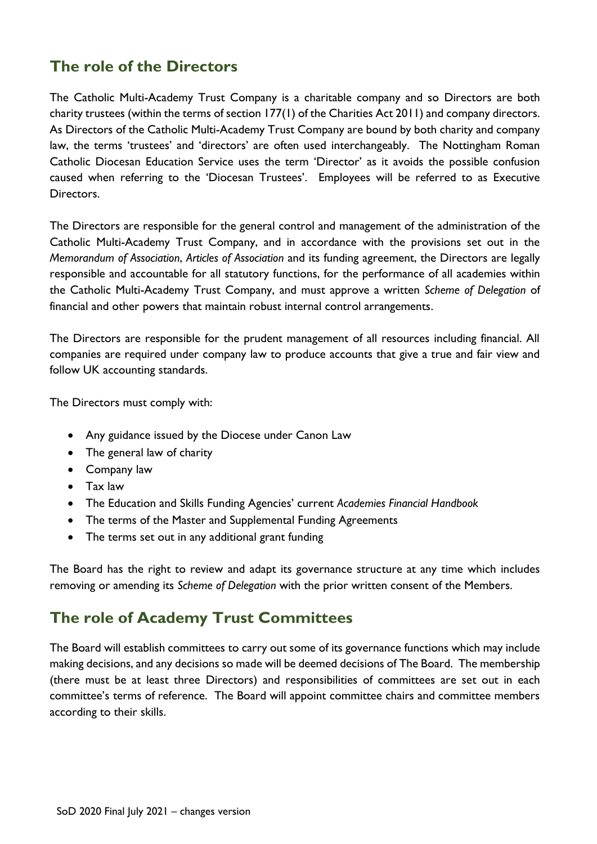## **The role of the Directors**

The Catholic Multi-Academy Trust Company is a charitable company and so Directors are both charity trustees (within the terms of section 177(1) of the Charities Act 2011) and company directors. As Directors of the Catholic Multi-Academy Trust Company are bound by both charity and company law, the terms 'trustees' and 'directors' are often used interchangeably. The Nottingham Roman Catholic Diocesan Education Service uses the term 'Director' as it avoids the possible confusion caused when referring to the 'Diocesan Trustees'. Employees will be referred to as Executive Directors.

The Directors are responsible for the general control and management of the administration of the Catholic Multi-Academy Trust Company, and in accordance with the provisions set out in the *Memorandum of Association*, *Articles of Association* and its funding agreement, the Directors are legally responsible and accountable for all statutory functions, for the performance of all academies within the Catholic Multi-Academy Trust Company, and must approve a written *Scheme of Delegation* of financial and other powers that maintain robust internal control arrangements.

The Directors are responsible for the prudent management of all resources including financial. All companies are required under company law to produce accounts that give a true and fair view and follow UK accounting standards.

The Directors must comply with:

- Any guidance issued by the Diocese under Canon Law
- The general law of charity
- Company law
- Tax law
- The Education and Skills Funding Agencies' current *Academies Financial Handbook*
- The terms of the Master and Supplemental Funding Agreements
- The terms set out in any additional grant funding

The Board has the right to review and adapt its governance structure at any time which includes removing or amending its *Scheme of Delegation* with the prior written consent of the Members.

#### **The role of Academy Trust Committees**

The Board will establish committees to carry out some of its governance functions which may include making decisions, and any decisions so made will be deemed decisions of The Board. The membership (there must be at least three Directors) and responsibilities of committees are set out in each committee's terms of reference. The Board will appoint committee chairs and committee members according to their skills.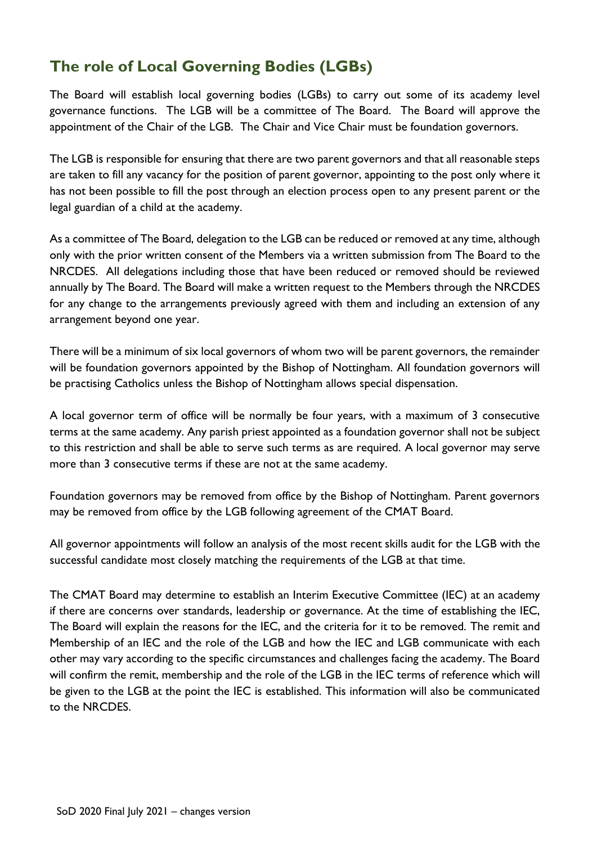## **The role of Local Governing Bodies (LGBs)**

The Board will establish local governing bodies (LGBs) to carry out some of its academy level governance functions. The LGB will be a committee of The Board. The Board will approve the appointment of the Chair of the LGB. The Chair and Vice Chair must be foundation governors.

The LGB is responsible for ensuring that there are two parent governors and that all reasonable steps are taken to fill any vacancy for the position of parent governor, appointing to the post only where it has not been possible to fill the post through an election process open to any present parent or the legal guardian of a child at the academy.

As a committee of The Board, delegation to the LGB can be reduced or removed at any time, although only with the prior written consent of the Members via a written submission from The Board to the NRCDES. All delegations including those that have been reduced or removed should be reviewed annually by The Board. The Board will make a written request to the Members through the NRCDES for any change to the arrangements previously agreed with them and including an extension of any arrangement beyond one year.

There will be a minimum of six local governors of whom two will be parent governors, the remainder will be foundation governors appointed by the Bishop of Nottingham. All foundation governors will be practising Catholics unless the Bishop of Nottingham allows special dispensation.

A local governor term of office will be normally be four years, with a maximum of 3 consecutive terms at the same academy. Any parish priest appointed as a foundation governor shall not be subject to this restriction and shall be able to serve such terms as are required. A local governor may serve more than 3 consecutive terms if these are not at the same academy.

Foundation governors may be removed from office by the Bishop of Nottingham. Parent governors may be removed from office by the LGB following agreement of the CMAT Board.

All governor appointments will follow an analysis of the most recent skills audit for the LGB with the successful candidate most closely matching the requirements of the LGB at that time.

The CMAT Board may determine to establish an Interim Executive Committee (IEC) at an academy if there are concerns over standards, leadership or governance. At the time of establishing the IEC, The Board will explain the reasons for the IEC, and the criteria for it to be removed. The remit and Membership of an IEC and the role of the LGB and how the IEC and LGB communicate with each other may vary according to the specific circumstances and challenges facing the academy. The Board will confirm the remit, membership and the role of the LGB in the IEC terms of reference which will be given to the LGB at the point the IEC is established. This information will also be communicated to the NRCDES.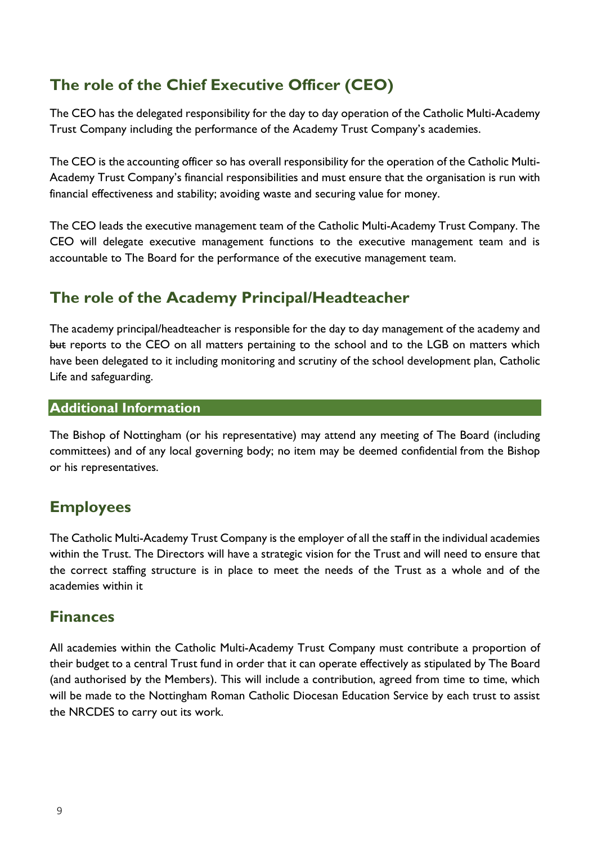## **The role of the Chief Executive Officer (CEO)**

The CEO has the delegated responsibility for the day to day operation of the Catholic Multi-Academy Trust Company including the performance of the Academy Trust Company's academies.

The CEO is the accounting officer so has overall responsibility for the operation of the Catholic Multi-Academy Trust Company's financial responsibilities and must ensure that the organisation is run with financial effectiveness and stability; avoiding waste and securing value for money.

The CEO leads the executive management team of the Catholic Multi-Academy Trust Company. The CEO will delegate executive management functions to the executive management team and is accountable to The Board for the performance of the executive management team.

## **The role of the Academy Principal/Headteacher**

The academy principal/headteacher is responsible for the day to day management of the academy and but reports to the CEO on all matters pertaining to the school and to the LGB on matters which have been delegated to it including monitoring and scrutiny of the school development plan, Catholic Life and safeguarding.

#### **Additional Information**

The Bishop of Nottingham (or his representative) may attend any meeting of The Board (including committees) and of any local governing body; no item may be deemed confidential from the Bishop or his representatives.

## **Employees**

The Catholic Multi-Academy Trust Company is the employer of all the staff in the individual academies within the Trust. The Directors will have a strategic vision for the Trust and will need to ensure that the correct staffing structure is in place to meet the needs of the Trust as a whole and of the academies within it

## **Finances**

All academies within the Catholic Multi-Academy Trust Company must contribute a proportion of their budget to a central Trust fund in order that it can operate effectively as stipulated by The Board (and authorised by the Members). This will include a contribution, agreed from time to time, which will be made to the Nottingham Roman Catholic Diocesan Education Service by each trust to assist the NRCDES to carry out its work.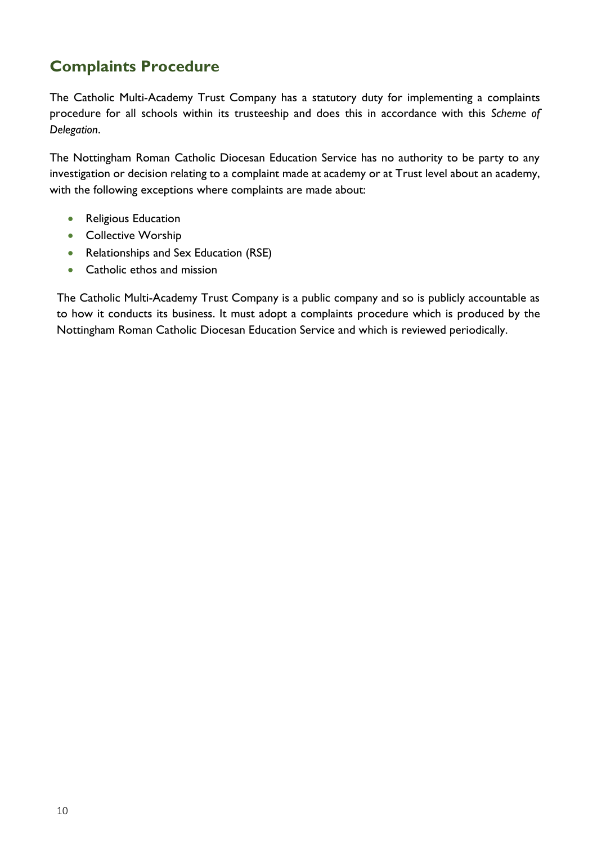## **Complaints Procedure**

The Catholic Multi-Academy Trust Company has a statutory duty for implementing a complaints procedure for all schools within its trusteeship and does this in accordance with this *Scheme of Delegation*.

The Nottingham Roman Catholic Diocesan Education Service has no authority to be party to any investigation or decision relating to a complaint made at academy or at Trust level about an academy, with the following exceptions where complaints are made about:

- Religious Education
- Collective Worship
- Relationships and Sex Education (RSE)
- Catholic ethos and mission

The Catholic Multi-Academy Trust Company is a public company and so is publicly accountable as to how it conducts its business. It must adopt a complaints procedure which is produced by the Nottingham Roman Catholic Diocesan Education Service and which is reviewed periodically.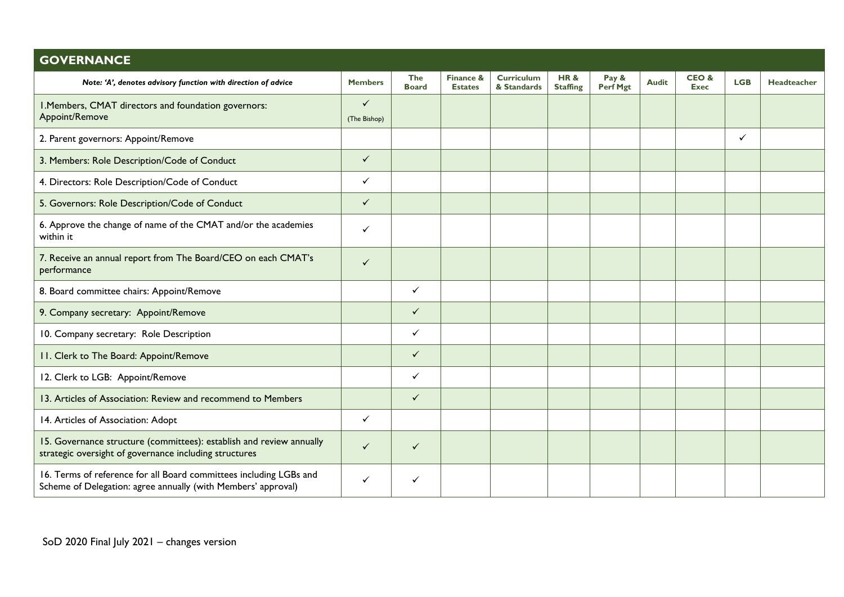| <b>GOVERNANCE</b>                                                                                                                   |                              |                            |                             |                                  |                                   |                   |              |                     |              |             |
|-------------------------------------------------------------------------------------------------------------------------------------|------------------------------|----------------------------|-----------------------------|----------------------------------|-----------------------------------|-------------------|--------------|---------------------|--------------|-------------|
| Note: 'A', denotes advisory function with direction of advice                                                                       | <b>Members</b>               | <b>The</b><br><b>Board</b> | Finance &<br><b>Estates</b> | <b>Curriculum</b><br>& Standards | <b>HR&amp;</b><br><b>Staffing</b> | Pay &<br>Perf Mgt | <b>Audit</b> | CEO&<br><b>Exec</b> | <b>LGB</b>   | Headteacher |
| I. Members, CMAT directors and foundation governors:<br>Appoint/Remove                                                              | $\checkmark$<br>(The Bishop) |                            |                             |                                  |                                   |                   |              |                     |              |             |
| 2. Parent governors: Appoint/Remove                                                                                                 |                              |                            |                             |                                  |                                   |                   |              |                     | $\checkmark$ |             |
| 3. Members: Role Description/Code of Conduct                                                                                        | $\checkmark$                 |                            |                             |                                  |                                   |                   |              |                     |              |             |
| 4. Directors: Role Description/Code of Conduct                                                                                      | $\checkmark$                 |                            |                             |                                  |                                   |                   |              |                     |              |             |
| 5. Governors: Role Description/Code of Conduct                                                                                      | $\checkmark$                 |                            |                             |                                  |                                   |                   |              |                     |              |             |
| 6. Approve the change of name of the CMAT and/or the academies<br>within it                                                         | $\checkmark$                 |                            |                             |                                  |                                   |                   |              |                     |              |             |
| 7. Receive an annual report from The Board/CEO on each CMAT's<br>performance                                                        | $\checkmark$                 |                            |                             |                                  |                                   |                   |              |                     |              |             |
| 8. Board committee chairs: Appoint/Remove                                                                                           |                              | $\checkmark$               |                             |                                  |                                   |                   |              |                     |              |             |
| 9. Company secretary: Appoint/Remove                                                                                                |                              | $\checkmark$               |                             |                                  |                                   |                   |              |                     |              |             |
| 10. Company secretary: Role Description                                                                                             |                              | $\checkmark$               |                             |                                  |                                   |                   |              |                     |              |             |
| 11. Clerk to The Board: Appoint/Remove                                                                                              |                              | $\checkmark$               |                             |                                  |                                   |                   |              |                     |              |             |
| 12. Clerk to LGB: Appoint/Remove                                                                                                    |                              | $\checkmark$               |                             |                                  |                                   |                   |              |                     |              |             |
| 13. Articles of Association: Review and recommend to Members                                                                        |                              | $\checkmark$               |                             |                                  |                                   |                   |              |                     |              |             |
| 14. Articles of Association: Adopt                                                                                                  | $\checkmark$                 |                            |                             |                                  |                                   |                   |              |                     |              |             |
| 15. Governance structure (committees): establish and review annually<br>strategic oversight of governance including structures      | $\checkmark$                 | $\checkmark$               |                             |                                  |                                   |                   |              |                     |              |             |
| 16. Terms of reference for all Board committees including LGBs and<br>Scheme of Delegation: agree annually (with Members' approval) | $\checkmark$                 | ✓                          |                             |                                  |                                   |                   |              |                     |              |             |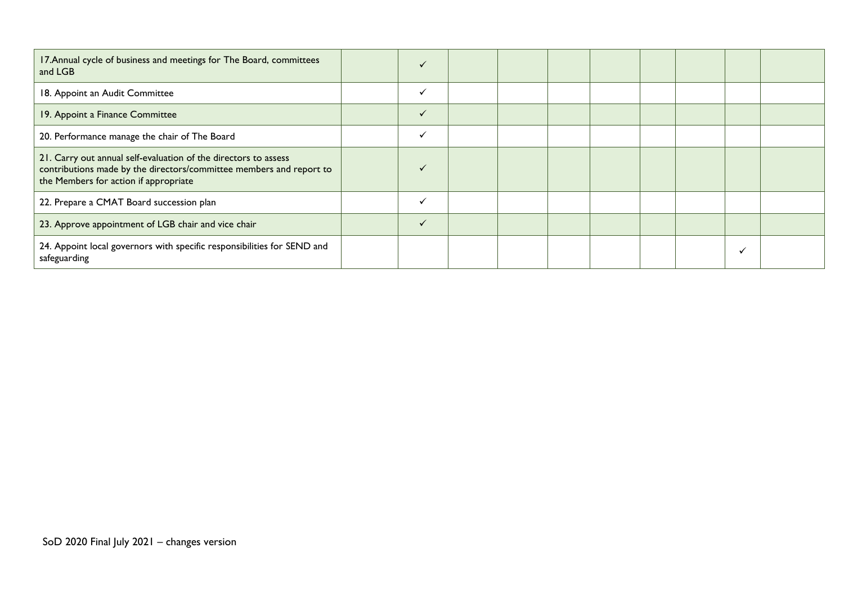| 17. Annual cycle of business and meetings for The Board, committees<br>and LGB                                                                                                  | $\checkmark$ |  |  |  |  |
|---------------------------------------------------------------------------------------------------------------------------------------------------------------------------------|--------------|--|--|--|--|
| 18. Appoint an Audit Committee                                                                                                                                                  | $\checkmark$ |  |  |  |  |
| 19. Appoint a Finance Committee                                                                                                                                                 | $\checkmark$ |  |  |  |  |
| 20. Performance manage the chair of The Board                                                                                                                                   | $\checkmark$ |  |  |  |  |
| 21. Carry out annual self-evaluation of the directors to assess<br>contributions made by the directors/committee members and report to<br>the Members for action if appropriate | $\checkmark$ |  |  |  |  |
| 22. Prepare a CMAT Board succession plan                                                                                                                                        | $\checkmark$ |  |  |  |  |
| 23. Approve appointment of LGB chair and vice chair                                                                                                                             | $\checkmark$ |  |  |  |  |
| 24. Appoint local governors with specific responsibilities for SEND and<br>safeguarding                                                                                         |              |  |  |  |  |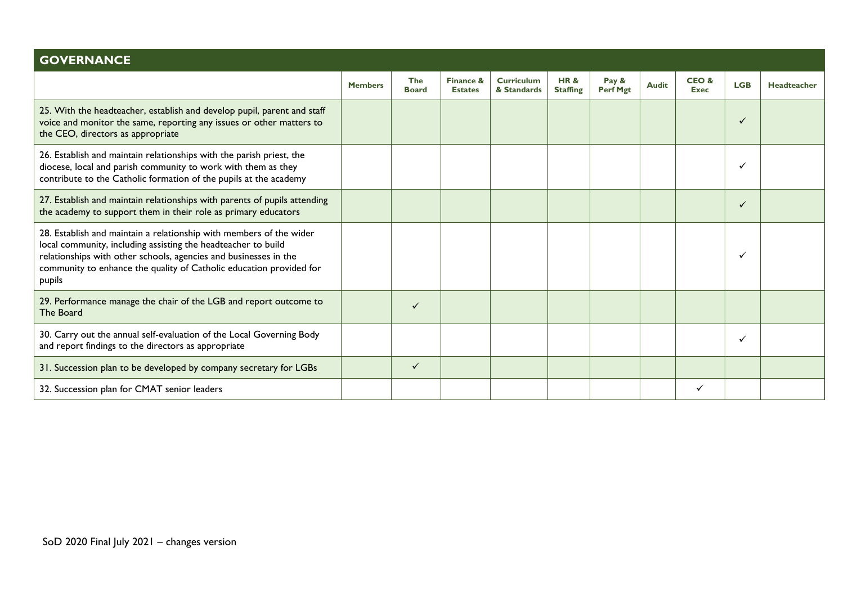| <b>GOVERNANCE</b>                                                                                                                                                                                                                                                                         |                |                            |                             |                                  |                                   |                          |              |                     |            |             |
|-------------------------------------------------------------------------------------------------------------------------------------------------------------------------------------------------------------------------------------------------------------------------------------------|----------------|----------------------------|-----------------------------|----------------------------------|-----------------------------------|--------------------------|--------------|---------------------|------------|-------------|
|                                                                                                                                                                                                                                                                                           | <b>Members</b> | <b>The</b><br><b>Board</b> | Finance &<br><b>Estates</b> | <b>Curriculum</b><br>& Standards | <b>HR&amp;</b><br><b>Staffing</b> | Pay &<br><b>Perf Mgt</b> | <b>Audit</b> | CEO&<br><b>Exec</b> | <b>LGB</b> | Headteacher |
| 25. With the headteacher, establish and develop pupil, parent and staff<br>voice and monitor the same, reporting any issues or other matters to<br>the CEO, directors as appropriate                                                                                                      |                |                            |                             |                                  |                                   |                          |              |                     |            |             |
| 26. Establish and maintain relationships with the parish priest, the<br>diocese, local and parish community to work with them as they<br>contribute to the Catholic formation of the pupils at the academy                                                                                |                |                            |                             |                                  |                                   |                          |              |                     |            |             |
| 27. Establish and maintain relationships with parents of pupils attending<br>the academy to support them in their role as primary educators                                                                                                                                               |                |                            |                             |                                  |                                   |                          |              |                     | ✓          |             |
| 28. Establish and maintain a relationship with members of the wider<br>local community, including assisting the headteacher to build<br>relationships with other schools, agencies and businesses in the<br>community to enhance the quality of Catholic education provided for<br>pupils |                |                            |                             |                                  |                                   |                          |              |                     |            |             |
| 29. Performance manage the chair of the LGB and report outcome to<br>The Board                                                                                                                                                                                                            |                | ✓                          |                             |                                  |                                   |                          |              |                     |            |             |
| 30. Carry out the annual self-evaluation of the Local Governing Body<br>and report findings to the directors as appropriate                                                                                                                                                               |                |                            |                             |                                  |                                   |                          |              |                     |            |             |
| 31. Succession plan to be developed by company secretary for LGBs                                                                                                                                                                                                                         |                | ✓                          |                             |                                  |                                   |                          |              |                     |            |             |
| 32. Succession plan for CMAT senior leaders                                                                                                                                                                                                                                               |                |                            |                             |                                  |                                   |                          |              |                     |            |             |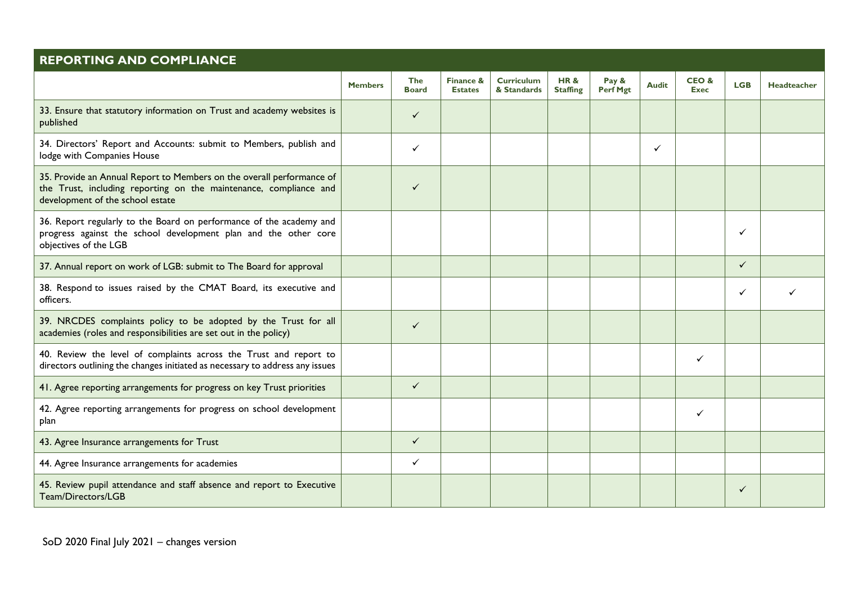| <b>REPORTING AND COMPLIANCE</b>                                                                                                                                                |                |                            |                                        |                                  |                                   |                   |              |                     |              |                    |
|--------------------------------------------------------------------------------------------------------------------------------------------------------------------------------|----------------|----------------------------|----------------------------------------|----------------------------------|-----------------------------------|-------------------|--------------|---------------------|--------------|--------------------|
|                                                                                                                                                                                | <b>Members</b> | <b>The</b><br><b>Board</b> | <b>Finance &amp;</b><br><b>Estates</b> | <b>Curriculum</b><br>& Standards | <b>HR&amp;</b><br><b>Staffing</b> | Pay &<br>Perf Mgt | <b>Audit</b> | CEO&<br><b>Exec</b> | <b>LGB</b>   | <b>Headteacher</b> |
| 33. Ensure that statutory information on Trust and academy websites is<br>published                                                                                            |                | $\checkmark$               |                                        |                                  |                                   |                   |              |                     |              |                    |
| 34. Directors' Report and Accounts: submit to Members, publish and<br>lodge with Companies House                                                                               |                | ✓                          |                                        |                                  |                                   |                   | ✓            |                     |              |                    |
| 35. Provide an Annual Report to Members on the overall performance of<br>the Trust, including reporting on the maintenance, compliance and<br>development of the school estate |                | $\checkmark$               |                                        |                                  |                                   |                   |              |                     |              |                    |
| 36. Report regularly to the Board on performance of the academy and<br>progress against the school development plan and the other core<br>objectives of the LGB                |                |                            |                                        |                                  |                                   |                   |              |                     | ✓            |                    |
| 37. Annual report on work of LGB: submit to The Board for approval                                                                                                             |                |                            |                                        |                                  |                                   |                   |              |                     | ✓            |                    |
| 38. Respond to issues raised by the CMAT Board, its executive and<br>officers.                                                                                                 |                |                            |                                        |                                  |                                   |                   |              |                     | ✓            |                    |
| 39. NRCDES complaints policy to be adopted by the Trust for all<br>academies (roles and responsibilities are set out in the policy)                                            |                | $\checkmark$               |                                        |                                  |                                   |                   |              |                     |              |                    |
| 40. Review the level of complaints across the Trust and report to<br>directors outlining the changes initiated as necessary to address any issues                              |                |                            |                                        |                                  |                                   |                   |              | ✓                   |              |                    |
| 41. Agree reporting arrangements for progress on key Trust priorities                                                                                                          |                | $\checkmark$               |                                        |                                  |                                   |                   |              |                     |              |                    |
| 42. Agree reporting arrangements for progress on school development<br>plan                                                                                                    |                |                            |                                        |                                  |                                   |                   |              | ✓                   |              |                    |
| 43. Agree Insurance arrangements for Trust                                                                                                                                     |                | $\checkmark$               |                                        |                                  |                                   |                   |              |                     |              |                    |
| 44. Agree Insurance arrangements for academies                                                                                                                                 |                | $\checkmark$               |                                        |                                  |                                   |                   |              |                     |              |                    |
| 45. Review pupil attendance and staff absence and report to Executive<br>Team/Directors/LGB                                                                                    |                |                            |                                        |                                  |                                   |                   |              |                     | $\checkmark$ |                    |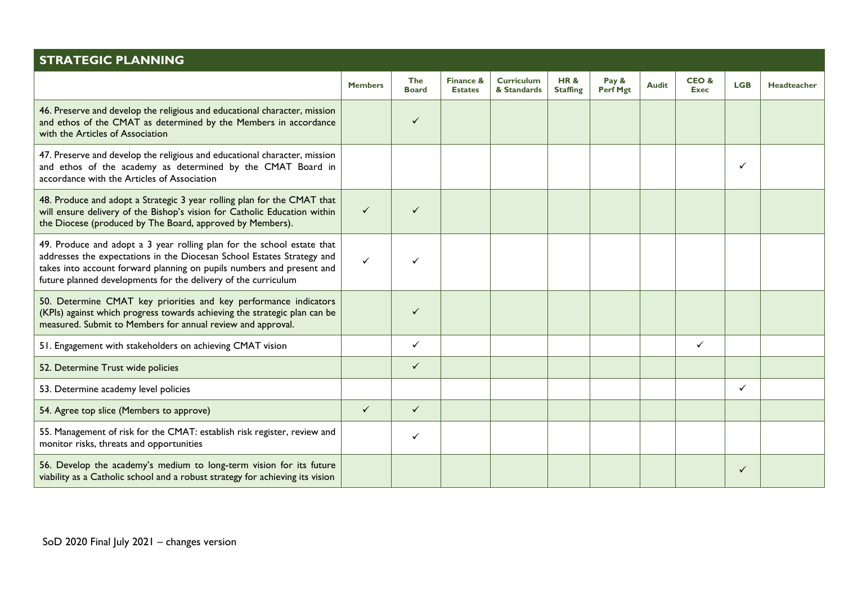| <b>STRATEGIC PLANNING</b>                                                                                                                                                                                                                                                                   |                |                            |                             |                                  |                                   |                          |              |                     |              |                    |
|---------------------------------------------------------------------------------------------------------------------------------------------------------------------------------------------------------------------------------------------------------------------------------------------|----------------|----------------------------|-----------------------------|----------------------------------|-----------------------------------|--------------------------|--------------|---------------------|--------------|--------------------|
|                                                                                                                                                                                                                                                                                             | <b>Members</b> | <b>The</b><br><b>Board</b> | Finance &<br><b>Estates</b> | <b>Curriculum</b><br>& Standards | <b>HR&amp;</b><br><b>Staffing</b> | Pay &<br><b>Perf Mgt</b> | <b>Audit</b> | CEO&<br><b>Exec</b> | <b>LGB</b>   | <b>Headteacher</b> |
| 46. Preserve and develop the religious and educational character, mission<br>and ethos of the CMAT as determined by the Members in accordance<br>with the Articles of Association                                                                                                           |                | ✓                          |                             |                                  |                                   |                          |              |                     |              |                    |
| 47. Preserve and develop the religious and educational character, mission<br>and ethos of the academy as determined by the CMAT Board in<br>accordance with the Articles of Association                                                                                                     |                |                            |                             |                                  |                                   |                          |              |                     | ✓            |                    |
| 48. Produce and adopt a Strategic 3 year rolling plan for the CMAT that<br>will ensure delivery of the Bishop's vision for Catholic Education within<br>the Diocese (produced by The Board, approved by Members).                                                                           | $\checkmark$   | $\checkmark$               |                             |                                  |                                   |                          |              |                     |              |                    |
| 49. Produce and adopt a 3 year rolling plan for the school estate that<br>addresses the expectations in the Diocesan School Estates Strategy and<br>takes into account forward planning on pupils numbers and present and<br>future planned developments for the delivery of the curriculum | $\checkmark$   |                            |                             |                                  |                                   |                          |              |                     |              |                    |
| 50. Determine CMAT key priorities and key performance indicators<br>(KPIs) against which progress towards achieving the strategic plan can be<br>measured. Submit to Members for annual review and approval.                                                                                |                | ✓                          |                             |                                  |                                   |                          |              |                     |              |                    |
| 51. Engagement with stakeholders on achieving CMAT vision                                                                                                                                                                                                                                   |                | ✓                          |                             |                                  |                                   |                          |              | $\checkmark$        |              |                    |
| 52. Determine Trust wide policies                                                                                                                                                                                                                                                           |                | ✓                          |                             |                                  |                                   |                          |              |                     |              |                    |
| 53. Determine academy level policies                                                                                                                                                                                                                                                        |                |                            |                             |                                  |                                   |                          |              |                     | $\checkmark$ |                    |
| 54. Agree top slice (Members to approve)                                                                                                                                                                                                                                                    | $\checkmark$   | $\checkmark$               |                             |                                  |                                   |                          |              |                     |              |                    |
| 55. Management of risk for the CMAT: establish risk register, review and<br>monitor risks, threats and opportunities                                                                                                                                                                        |                | ✓                          |                             |                                  |                                   |                          |              |                     |              |                    |
| 56. Develop the academy's medium to long-term vision for its future<br>viability as a Catholic school and a robust strategy for achieving its vision                                                                                                                                        |                |                            |                             |                                  |                                   |                          |              |                     | ✓            |                    |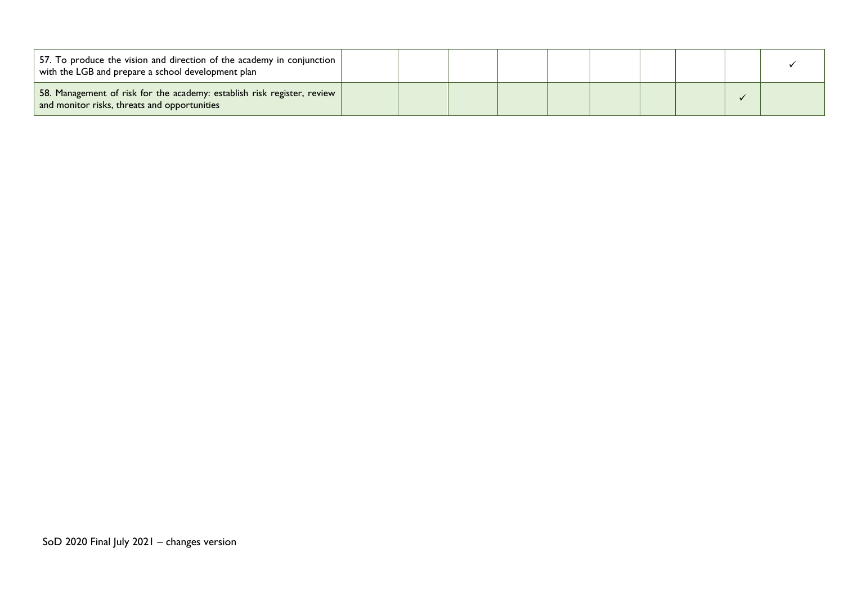| 57. To produce the vision and direction of the academy in conjunction<br>with the LGB and prepare a school development plan |  |  |  |  |  |
|-----------------------------------------------------------------------------------------------------------------------------|--|--|--|--|--|
| 58. Management of risk for the academy: establish risk register, review  <br>and monitor risks, threats and opportunities   |  |  |  |  |  |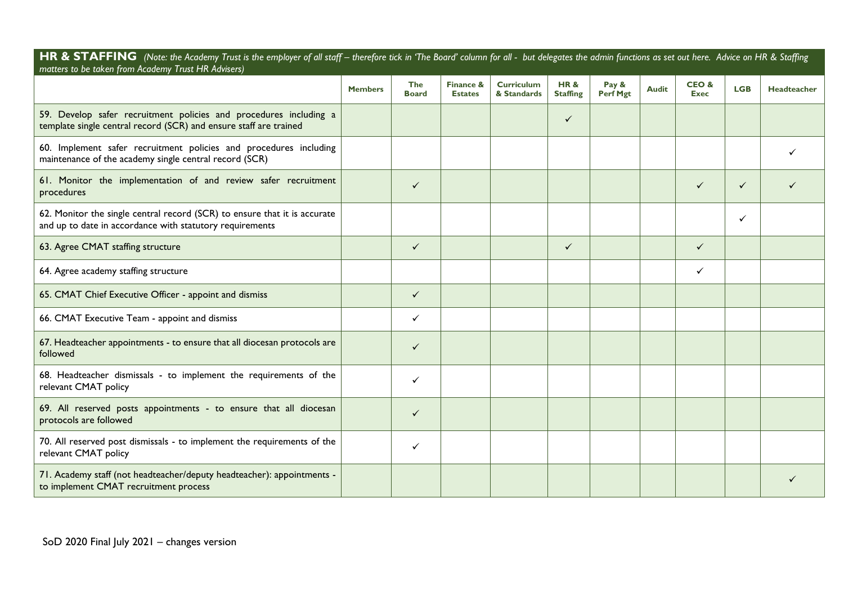HR & STAFFING (Note: the Academy Trust is the employer of all staff - therefore tick in 'The Board' column for all - but delegates the admin functions as set out here. Advice on HR & Staffing *matters to be taken from Academy Trust HR Advisers)*

|                                                                                                                                        | <b>Members</b> | <b>The</b><br><b>Board</b> | Finance &<br><b>Estates</b> | <b>Curriculum</b><br>& Standards | <b>HR&amp;</b><br><b>Staffing</b> | Pay &<br><b>Perf Mgt</b> | <b>Audit</b> | CEO&<br><b>Exec</b> | <b>LGB</b>   | <b>Headteacher</b> |
|----------------------------------------------------------------------------------------------------------------------------------------|----------------|----------------------------|-----------------------------|----------------------------------|-----------------------------------|--------------------------|--------------|---------------------|--------------|--------------------|
| 59. Develop safer recruitment policies and procedures including a<br>template single central record (SCR) and ensure staff are trained |                |                            |                             |                                  | $\checkmark$                      |                          |              |                     |              |                    |
| 60. Implement safer recruitment policies and procedures including<br>maintenance of the academy single central record (SCR)            |                |                            |                             |                                  |                                   |                          |              |                     |              |                    |
| 61. Monitor the implementation of and review safer recruitment<br>procedures                                                           |                | $\checkmark$               |                             |                                  |                                   |                          |              | $\checkmark$        | $\checkmark$ |                    |
| 62. Monitor the single central record (SCR) to ensure that it is accurate<br>and up to date in accordance with statutory requirements  |                |                            |                             |                                  |                                   |                          |              |                     | ✓            |                    |
| 63. Agree CMAT staffing structure                                                                                                      |                | $\checkmark$               |                             |                                  | $\checkmark$                      |                          |              | $\checkmark$        |              |                    |
| 64. Agree academy staffing structure                                                                                                   |                |                            |                             |                                  |                                   |                          |              |                     |              |                    |
| 65. CMAT Chief Executive Officer - appoint and dismiss                                                                                 |                | $\checkmark$               |                             |                                  |                                   |                          |              |                     |              |                    |
| 66. CMAT Executive Team - appoint and dismiss                                                                                          |                | ✓                          |                             |                                  |                                   |                          |              |                     |              |                    |
| 67. Headteacher appointments - to ensure that all diocesan protocols are<br>followed                                                   |                | ✓                          |                             |                                  |                                   |                          |              |                     |              |                    |
| 68. Headteacher dismissals - to implement the requirements of the<br>relevant CMAT policy                                              |                | ✓                          |                             |                                  |                                   |                          |              |                     |              |                    |
| 69. All reserved posts appointments - to ensure that all diocesan<br>protocols are followed                                            |                | ✓                          |                             |                                  |                                   |                          |              |                     |              |                    |
| 70. All reserved post dismissals - to implement the requirements of the<br>relevant CMAT policy                                        |                | ✓                          |                             |                                  |                                   |                          |              |                     |              |                    |
| 71. Academy staff (not headteacher/deputy headteacher): appointments -<br>to implement CMAT recruitment process                        |                |                            |                             |                                  |                                   |                          |              |                     |              |                    |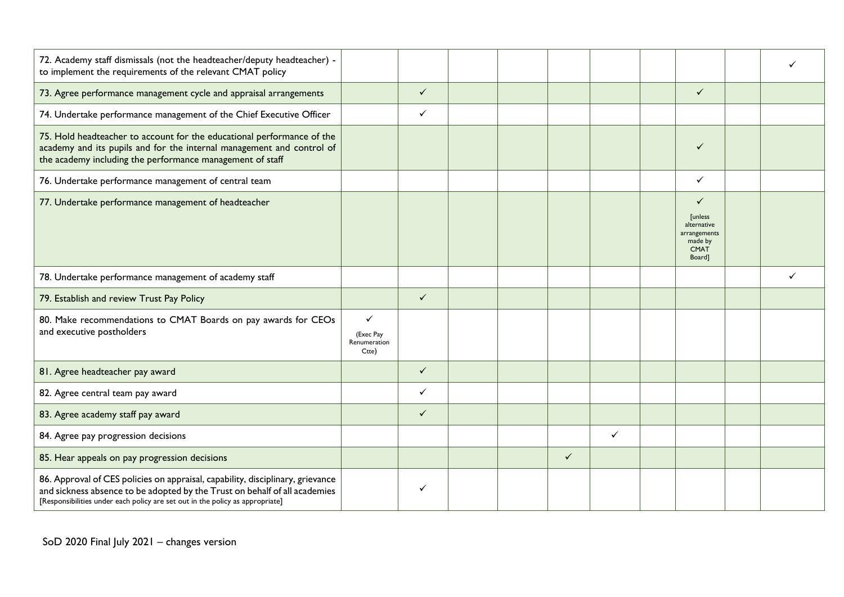| 72. Academy staff dismissals (not the headteacher/deputy headteacher) -<br>to implement the requirements of the relevant CMAT policy                                                                                                          |                                                    |              |  |              |              |                                                                                        |  |
|-----------------------------------------------------------------------------------------------------------------------------------------------------------------------------------------------------------------------------------------------|----------------------------------------------------|--------------|--|--------------|--------------|----------------------------------------------------------------------------------------|--|
| 73. Agree performance management cycle and appraisal arrangements                                                                                                                                                                             |                                                    | $\checkmark$ |  |              |              | $\checkmark$                                                                           |  |
| 74. Undertake performance management of the Chief Executive Officer                                                                                                                                                                           |                                                    | $\checkmark$ |  |              |              |                                                                                        |  |
| 75. Hold headteacher to account for the educational performance of the<br>academy and its pupils and for the internal management and control of<br>the academy including the performance management of staff                                  |                                                    |              |  |              |              | ✓                                                                                      |  |
| 76. Undertake performance management of central team                                                                                                                                                                                          |                                                    |              |  |              |              | ✓                                                                                      |  |
| 77. Undertake performance management of headteacher                                                                                                                                                                                           |                                                    |              |  |              |              | ✓<br><b>Tunless</b><br>alternative<br>arrangements<br>made by<br><b>CMAT</b><br>Board] |  |
| 78. Undertake performance management of academy staff                                                                                                                                                                                         |                                                    |              |  |              |              |                                                                                        |  |
| 79. Establish and review Trust Pay Policy                                                                                                                                                                                                     |                                                    | $\checkmark$ |  |              |              |                                                                                        |  |
| 80. Make recommendations to CMAT Boards on pay awards for CEOs<br>and executive postholders                                                                                                                                                   | $\checkmark$<br>(Exec Pay<br>Renumeration<br>Ctte) |              |  |              |              |                                                                                        |  |
| 81. Agree headteacher pay award                                                                                                                                                                                                               |                                                    | $\checkmark$ |  |              |              |                                                                                        |  |
| 82. Agree central team pay award                                                                                                                                                                                                              |                                                    | $\checkmark$ |  |              |              |                                                                                        |  |
| 83. Agree academy staff pay award                                                                                                                                                                                                             |                                                    | $\checkmark$ |  |              |              |                                                                                        |  |
| 84. Agree pay progression decisions                                                                                                                                                                                                           |                                                    |              |  |              | $\checkmark$ |                                                                                        |  |
| 85. Hear appeals on pay progression decisions                                                                                                                                                                                                 |                                                    |              |  | $\checkmark$ |              |                                                                                        |  |
| 86. Approval of CES policies on appraisal, capability, disciplinary, grievance<br>and sickness absence to be adopted by the Trust on behalf of all academies<br>[Responsibilities under each policy are set out in the policy as appropriate] |                                                    | $\checkmark$ |  |              |              |                                                                                        |  |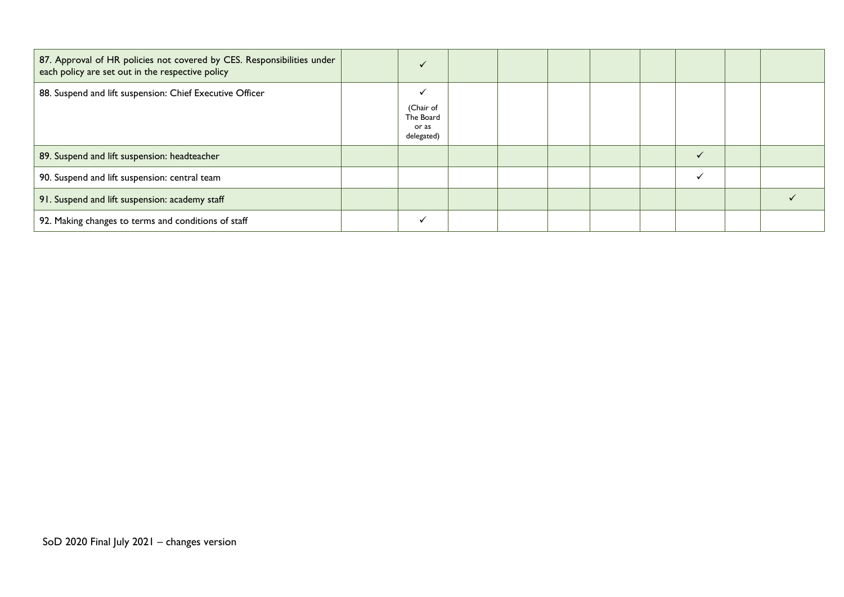| 87. Approval of HR policies not covered by CES. Responsibilities under<br>each policy are set out in the respective policy | $\checkmark$                                  |  |  |  |  |
|----------------------------------------------------------------------------------------------------------------------------|-----------------------------------------------|--|--|--|--|
| 88. Suspend and lift suspension: Chief Executive Officer                                                                   | (Chair of<br>The Board<br>or as<br>delegated) |  |  |  |  |
| 89. Suspend and lift suspension: headteacher                                                                               |                                               |  |  |  |  |
| 90. Suspend and lift suspension: central team                                                                              |                                               |  |  |  |  |
| 91. Suspend and lift suspension: academy staff                                                                             |                                               |  |  |  |  |
| 92. Making changes to terms and conditions of staff                                                                        | $\checkmark$                                  |  |  |  |  |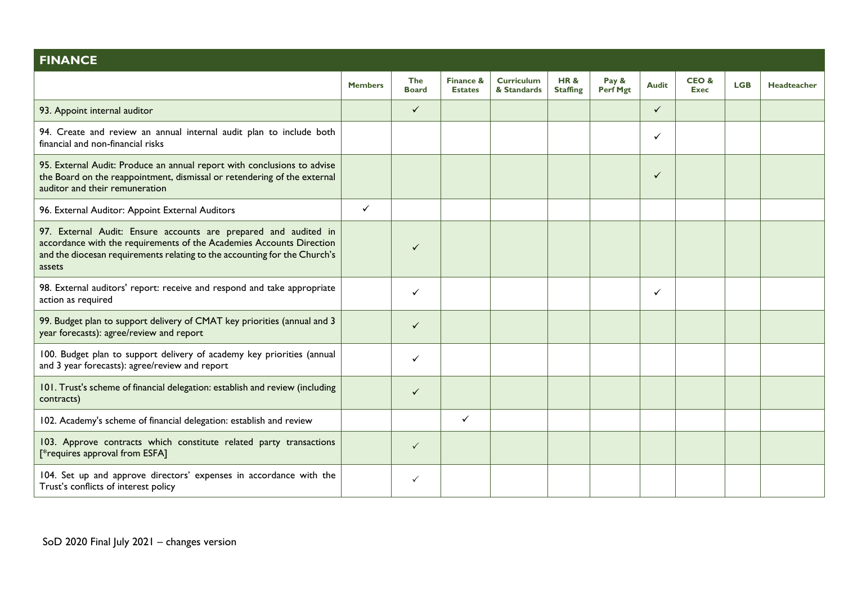| <b>FINANCE</b>                                                                                                                                                                                                                 |                |                            |                             |                                  |                                   |                   |              |                     |            |                    |
|--------------------------------------------------------------------------------------------------------------------------------------------------------------------------------------------------------------------------------|----------------|----------------------------|-----------------------------|----------------------------------|-----------------------------------|-------------------|--------------|---------------------|------------|--------------------|
|                                                                                                                                                                                                                                | <b>Members</b> | <b>The</b><br><b>Board</b> | Finance &<br><b>Estates</b> | <b>Curriculum</b><br>& Standards | <b>HR&amp;</b><br><b>Staffing</b> | Pay &<br>Perf Mgt | <b>Audit</b> | CEO&<br><b>Exec</b> | <b>LGB</b> | <b>Headteacher</b> |
| 93. Appoint internal auditor                                                                                                                                                                                                   |                | $\checkmark$               |                             |                                  |                                   |                   | $\checkmark$ |                     |            |                    |
| 94. Create and review an annual internal audit plan to include both<br>financial and non-financial risks                                                                                                                       |                |                            |                             |                                  |                                   |                   | $\checkmark$ |                     |            |                    |
| 95. External Audit: Produce an annual report with conclusions to advise<br>the Board on the reappointment, dismissal or retendering of the external<br>auditor and their remuneration                                          |                |                            |                             |                                  |                                   |                   | $\checkmark$ |                     |            |                    |
| 96. External Auditor: Appoint External Auditors                                                                                                                                                                                | $\checkmark$   |                            |                             |                                  |                                   |                   |              |                     |            |                    |
| 97. External Audit: Ensure accounts are prepared and audited in<br>accordance with the requirements of the Academies Accounts Direction<br>and the diocesan requirements relating to the accounting for the Church's<br>assets |                | ✓                          |                             |                                  |                                   |                   |              |                     |            |                    |
| 98. External auditors' report: receive and respond and take appropriate<br>action as required                                                                                                                                  |                | ✓                          |                             |                                  |                                   |                   | $\checkmark$ |                     |            |                    |
| 99. Budget plan to support delivery of CMAT key priorities (annual and 3<br>year forecasts): agree/review and report                                                                                                           |                | ✓                          |                             |                                  |                                   |                   |              |                     |            |                    |
| 100. Budget plan to support delivery of academy key priorities (annual<br>and 3 year forecasts): agree/review and report                                                                                                       |                | ✓                          |                             |                                  |                                   |                   |              |                     |            |                    |
| 101. Trust's scheme of financial delegation: establish and review (including<br>contracts)                                                                                                                                     |                | ✓                          |                             |                                  |                                   |                   |              |                     |            |                    |
| 102. Academy's scheme of financial delegation: establish and review                                                                                                                                                            |                |                            | $\checkmark$                |                                  |                                   |                   |              |                     |            |                    |
| 103. Approve contracts which constitute related party transactions<br>[*requires approval from ESFA]                                                                                                                           |                | $\checkmark$               |                             |                                  |                                   |                   |              |                     |            |                    |
| 104. Set up and approve directors' expenses in accordance with the<br>Trust's conflicts of interest policy                                                                                                                     |                | ✓                          |                             |                                  |                                   |                   |              |                     |            |                    |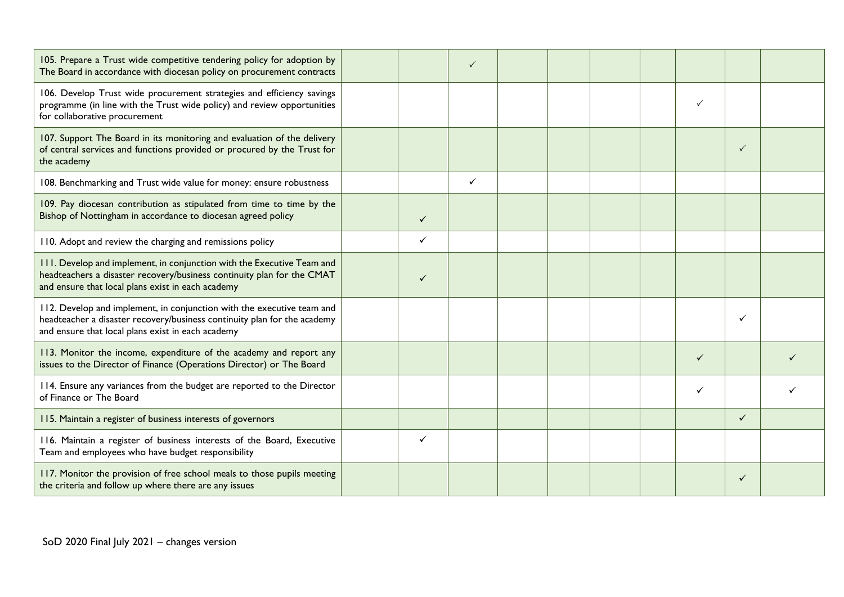| 105. Prepare a Trust wide competitive tendering policy for adoption by<br>The Board in accordance with diocesan policy on procurement contracts                                                         |              | ✓ |  |  |   |              |  |
|---------------------------------------------------------------------------------------------------------------------------------------------------------------------------------------------------------|--------------|---|--|--|---|--------------|--|
| 106. Develop Trust wide procurement strategies and efficiency savings<br>programme (in line with the Trust wide policy) and review opportunities<br>for collaborative procurement                       |              |   |  |  |   |              |  |
| 107. Support The Board in its monitoring and evaluation of the delivery<br>of central services and functions provided or procured by the Trust for<br>the academy                                       |              |   |  |  |   | $\checkmark$ |  |
| 108. Benchmarking and Trust wide value for money: ensure robustness                                                                                                                                     |              | ✓ |  |  |   |              |  |
| 109. Pay diocesan contribution as stipulated from time to time by the<br>Bishop of Nottingham in accordance to diocesan agreed policy                                                                   | $\checkmark$ |   |  |  |   |              |  |
| 110. Adopt and review the charging and remissions policy                                                                                                                                                | $\checkmark$ |   |  |  |   |              |  |
| 111. Develop and implement, in conjunction with the Executive Team and<br>headteachers a disaster recovery/business continuity plan for the CMAT<br>and ensure that local plans exist in each academy   | $\checkmark$ |   |  |  |   |              |  |
| 112. Develop and implement, in conjunction with the executive team and<br>headteacher a disaster recovery/business continuity plan for the academy<br>and ensure that local plans exist in each academy |              |   |  |  |   | ✓            |  |
| 113. Monitor the income, expenditure of the academy and report any<br>issues to the Director of Finance (Operations Director) or The Board                                                              |              |   |  |  | ✓ |              |  |
| 114. Ensure any variances from the budget are reported to the Director<br>of Finance or The Board                                                                                                       |              |   |  |  |   |              |  |
| 115. Maintain a register of business interests of governors                                                                                                                                             |              |   |  |  |   | $\checkmark$ |  |
| 116. Maintain a register of business interests of the Board, Executive<br>Team and employees who have budget responsibility                                                                             | ✓            |   |  |  |   |              |  |
| 117. Monitor the provision of free school meals to those pupils meeting<br>the criteria and follow up where there are any issues                                                                        |              |   |  |  |   | $\checkmark$ |  |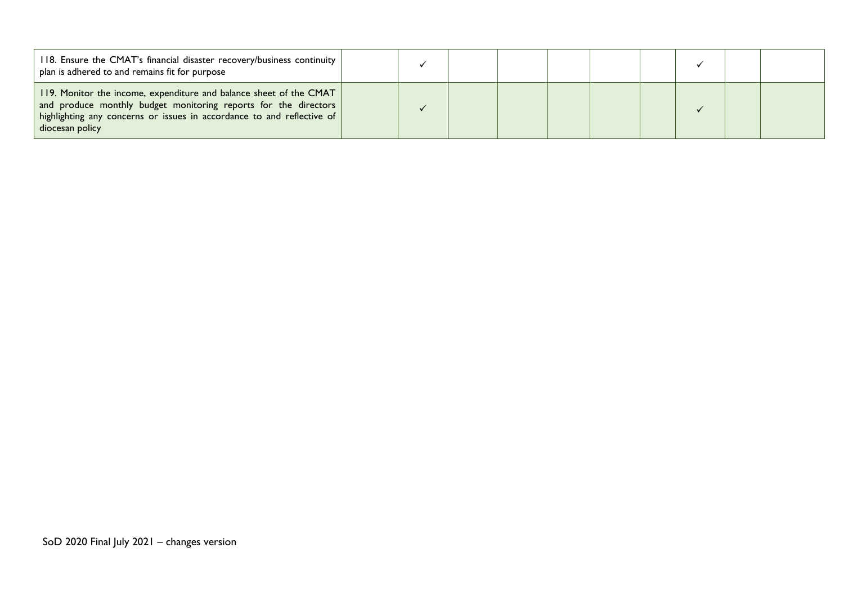| 118. Ensure the CMAT's financial disaster recovery/business continuity<br>plan is adhered to and remains fit for purpose                                                                                                           |  |  |  |  |
|------------------------------------------------------------------------------------------------------------------------------------------------------------------------------------------------------------------------------------|--|--|--|--|
| 119. Monitor the income, expenditure and balance sheet of the CMAT<br>and produce monthly budget monitoring reports for the directors<br>highlighting any concerns or issues in accordance to and reflective of<br>diocesan policy |  |  |  |  |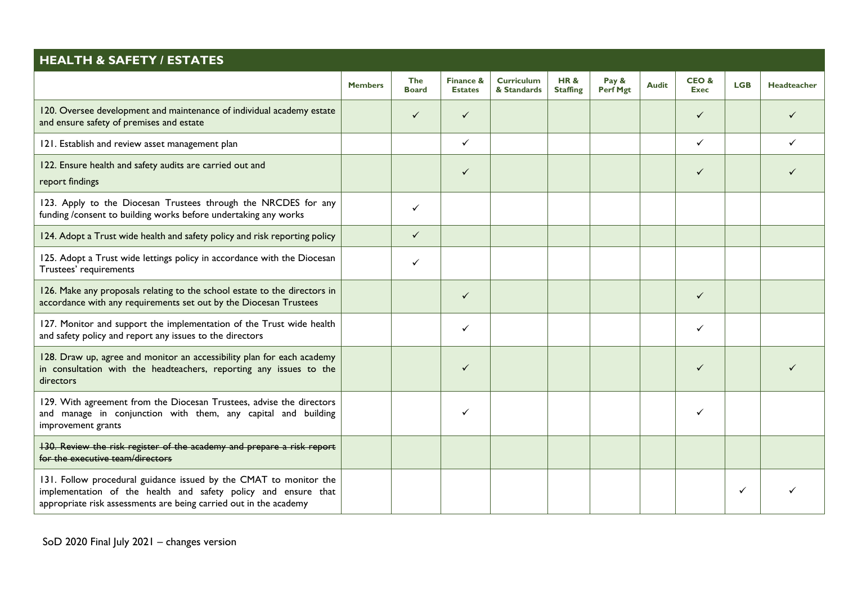| <b>HEALTH &amp; SAFETY / ESTATES</b>                                                                                                                                                                     |                |                            |                             |                                  |                                   |                   |              |                     |            |                    |
|----------------------------------------------------------------------------------------------------------------------------------------------------------------------------------------------------------|----------------|----------------------------|-----------------------------|----------------------------------|-----------------------------------|-------------------|--------------|---------------------|------------|--------------------|
|                                                                                                                                                                                                          | <b>Members</b> | <b>The</b><br><b>Board</b> | Finance &<br><b>Estates</b> | <b>Curriculum</b><br>& Standards | <b>HR&amp;</b><br><b>Staffing</b> | Pay &<br>Perf Mgt | <b>Audit</b> | CEO&<br><b>Exec</b> | <b>LGB</b> | <b>Headteacher</b> |
| 120. Oversee development and maintenance of individual academy estate<br>and ensure safety of premises and estate                                                                                        |                | ✓                          | $\checkmark$                |                                  |                                   |                   |              | $\checkmark$        |            |                    |
| 121. Establish and review asset management plan                                                                                                                                                          |                |                            | $\checkmark$                |                                  |                                   |                   |              | ✓                   |            |                    |
| 122. Ensure health and safety audits are carried out and<br>report findings                                                                                                                              |                |                            | $\checkmark$                |                                  |                                   |                   |              | ✓                   |            |                    |
| 123. Apply to the Diocesan Trustees through the NRCDES for any<br>funding /consent to building works before undertaking any works                                                                        |                | ✓                          |                             |                                  |                                   |                   |              |                     |            |                    |
| 124. Adopt a Trust wide health and safety policy and risk reporting policy                                                                                                                               |                | $\checkmark$               |                             |                                  |                                   |                   |              |                     |            |                    |
| 125. Adopt a Trust wide lettings policy in accordance with the Diocesan<br>Trustees' requirements                                                                                                        |                | ✓                          |                             |                                  |                                   |                   |              |                     |            |                    |
| 126. Make any proposals relating to the school estate to the directors in<br>accordance with any requirements set out by the Diocesan Trustees                                                           |                |                            | $\checkmark$                |                                  |                                   |                   |              | $\checkmark$        |            |                    |
| 127. Monitor and support the implementation of the Trust wide health<br>and safety policy and report any issues to the directors                                                                         |                |                            | $\checkmark$                |                                  |                                   |                   |              | ✓                   |            |                    |
| 128. Draw up, agree and monitor an accessibility plan for each academy<br>in consultation with the headteachers, reporting any issues to the<br>directors                                                |                |                            | $\checkmark$                |                                  |                                   |                   |              | $\checkmark$        |            |                    |
| 129. With agreement from the Diocesan Trustees, advise the directors<br>and manage in conjunction with them, any capital and building<br>improvement grants                                              |                |                            | ✓                           |                                  |                                   |                   |              | ✓                   |            |                    |
| 130. Review the risk register of the academy and prepare a risk report<br>for the executive team/directors                                                                                               |                |                            |                             |                                  |                                   |                   |              |                     |            |                    |
| 131. Follow procedural guidance issued by the CMAT to monitor the<br>implementation of the health and safety policy and ensure that<br>appropriate risk assessments are being carried out in the academy |                |                            |                             |                                  |                                   |                   |              |                     | ✓          |                    |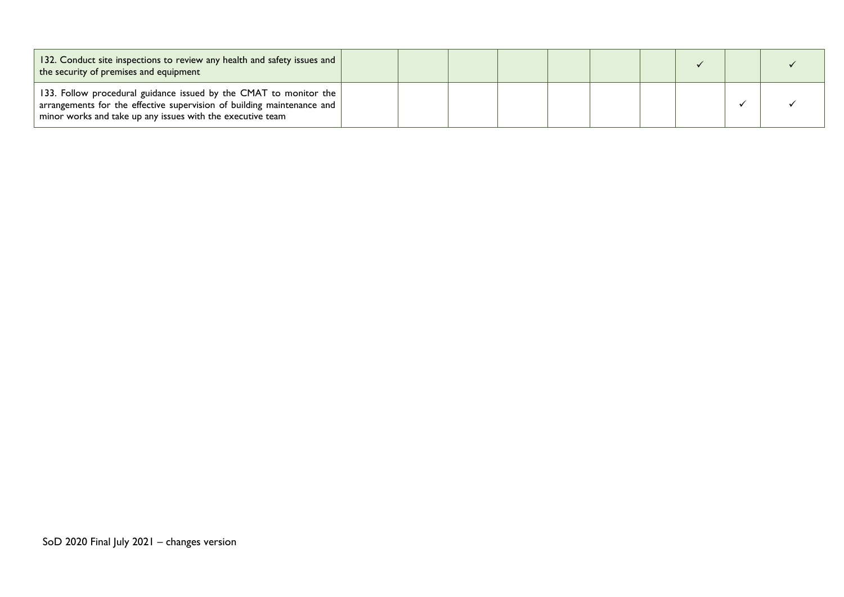| 132. Conduct site inspections to review any health and safety issues and<br>the security of premises and equipment                                                                                        |  |  |  |  |  |
|-----------------------------------------------------------------------------------------------------------------------------------------------------------------------------------------------------------|--|--|--|--|--|
| 133. Follow procedural guidance issued by the CMAT to monitor the<br>arrangements for the effective supervision of building maintenance and<br>minor works and take up any issues with the executive team |  |  |  |  |  |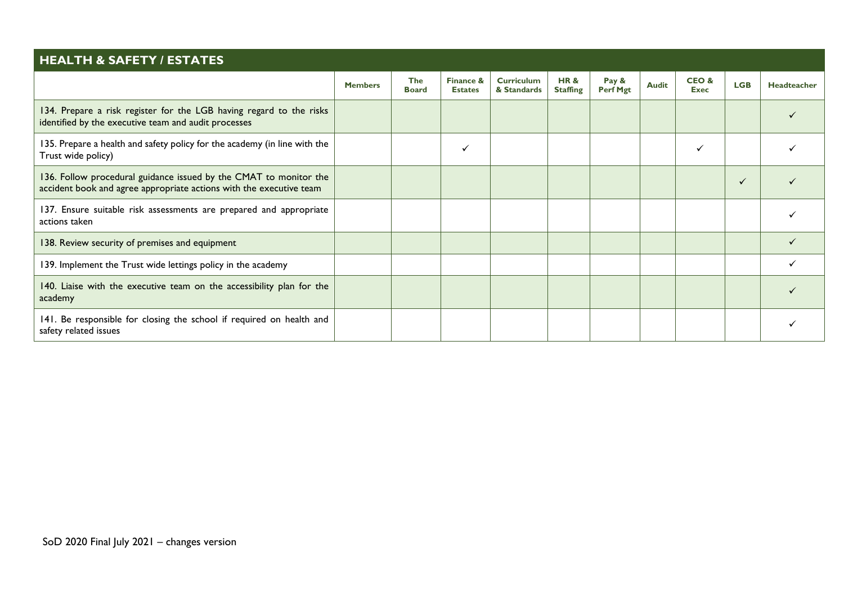| <b>HEALTH &amp; SAFETY / ESTATES</b>                                                                                                     |                |                            |                             |                                  |                                   |                          |              |                     |            |             |
|------------------------------------------------------------------------------------------------------------------------------------------|----------------|----------------------------|-----------------------------|----------------------------------|-----------------------------------|--------------------------|--------------|---------------------|------------|-------------|
|                                                                                                                                          | <b>Members</b> | <b>The</b><br><b>Board</b> | Finance &<br><b>Estates</b> | <b>Curriculum</b><br>& Standards | <b>HR&amp;</b><br><b>Staffing</b> | Pay &<br><b>Perf Mgt</b> | <b>Audit</b> | CEO&<br><b>Exec</b> | <b>LGB</b> | Headteacher |
| 134. Prepare a risk register for the LGB having regard to the risks<br>identified by the executive team and audit processes              |                |                            |                             |                                  |                                   |                          |              |                     |            |             |
| 135. Prepare a health and safety policy for the academy (in line with the<br>Trust wide policy)                                          |                |                            | $\checkmark$                |                                  |                                   |                          |              |                     |            |             |
| 136. Follow procedural guidance issued by the CMAT to monitor the<br>accident book and agree appropriate actions with the executive team |                |                            |                             |                                  |                                   |                          |              |                     |            |             |
| 137. Ensure suitable risk assessments are prepared and appropriate<br>actions taken                                                      |                |                            |                             |                                  |                                   |                          |              |                     |            |             |
| 138. Review security of premises and equipment                                                                                           |                |                            |                             |                                  |                                   |                          |              |                     |            |             |
| 139. Implement the Trust wide lettings policy in the academy                                                                             |                |                            |                             |                                  |                                   |                          |              |                     |            |             |
| 140. Liaise with the executive team on the accessibility plan for the<br>academy                                                         |                |                            |                             |                                  |                                   |                          |              |                     |            |             |
| 141. Be responsible for closing the school if required on health and<br>safety related issues                                            |                |                            |                             |                                  |                                   |                          |              |                     |            |             |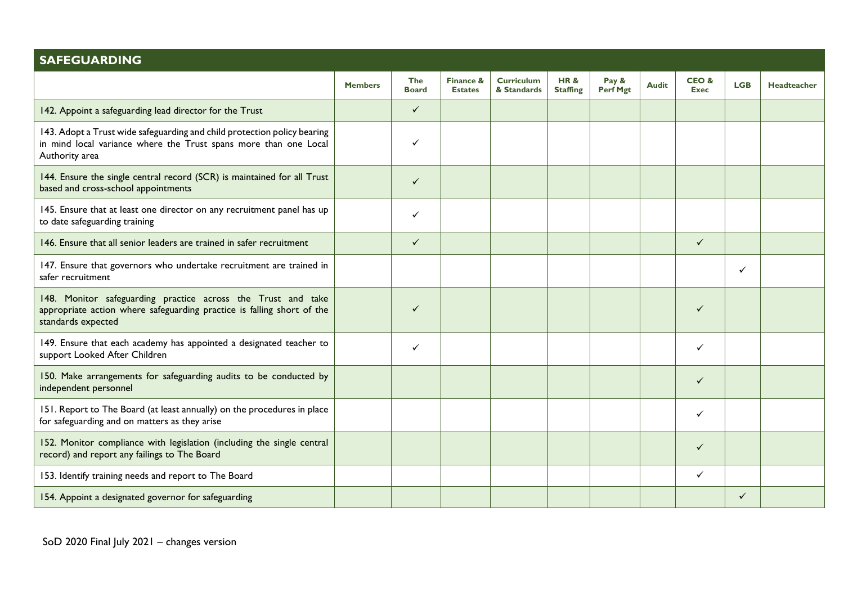| <b>SAFEGUARDING</b>                                                                                                                                            |                |                            |                             |                                  |                                   |                   |              |                     |            |                    |
|----------------------------------------------------------------------------------------------------------------------------------------------------------------|----------------|----------------------------|-----------------------------|----------------------------------|-----------------------------------|-------------------|--------------|---------------------|------------|--------------------|
|                                                                                                                                                                | <b>Members</b> | <b>The</b><br><b>Board</b> | Finance &<br><b>Estates</b> | <b>Curriculum</b><br>& Standards | <b>HR&amp;</b><br><b>Staffing</b> | Pay &<br>Perf Mgt | <b>Audit</b> | CEO&<br><b>Exec</b> | <b>LGB</b> | <b>Headteacher</b> |
| 142. Appoint a safeguarding lead director for the Trust                                                                                                        |                | $\checkmark$               |                             |                                  |                                   |                   |              |                     |            |                    |
| 143. Adopt a Trust wide safeguarding and child protection policy bearing<br>in mind local variance where the Trust spans more than one Local<br>Authority area |                | ✓                          |                             |                                  |                                   |                   |              |                     |            |                    |
| 144. Ensure the single central record (SCR) is maintained for all Trust<br>based and cross-school appointments                                                 |                | $\checkmark$               |                             |                                  |                                   |                   |              |                     |            |                    |
| 145. Ensure that at least one director on any recruitment panel has up<br>to date safeguarding training                                                        |                | ✓                          |                             |                                  |                                   |                   |              |                     |            |                    |
| 146. Ensure that all senior leaders are trained in safer recruitment                                                                                           |                | $\checkmark$               |                             |                                  |                                   |                   |              | $\checkmark$        |            |                    |
| 147. Ensure that governors who undertake recruitment are trained in<br>safer recruitment                                                                       |                |                            |                             |                                  |                                   |                   |              |                     | ✓          |                    |
| 148. Monitor safeguarding practice across the Trust and take<br>appropriate action where safeguarding practice is falling short of the<br>standards expected   |                | ✓                          |                             |                                  |                                   |                   |              | ✓                   |            |                    |
| 149. Ensure that each academy has appointed a designated teacher to<br>support Looked After Children                                                           |                | ✓                          |                             |                                  |                                   |                   |              | ✓                   |            |                    |
| 150. Make arrangements for safeguarding audits to be conducted by<br>independent personnel                                                                     |                |                            |                             |                                  |                                   |                   |              | ✓                   |            |                    |
| 151. Report to The Board (at least annually) on the procedures in place<br>for safeguarding and on matters as they arise                                       |                |                            |                             |                                  |                                   |                   |              | ✓                   |            |                    |
| 152. Monitor compliance with legislation (including the single central<br>record) and report any failings to The Board                                         |                |                            |                             |                                  |                                   |                   |              | $\checkmark$        |            |                    |
| 153. Identify training needs and report to The Board                                                                                                           |                |                            |                             |                                  |                                   |                   |              | ✓                   |            |                    |
| 154. Appoint a designated governor for safeguarding                                                                                                            |                |                            |                             |                                  |                                   |                   |              |                     | ✓          |                    |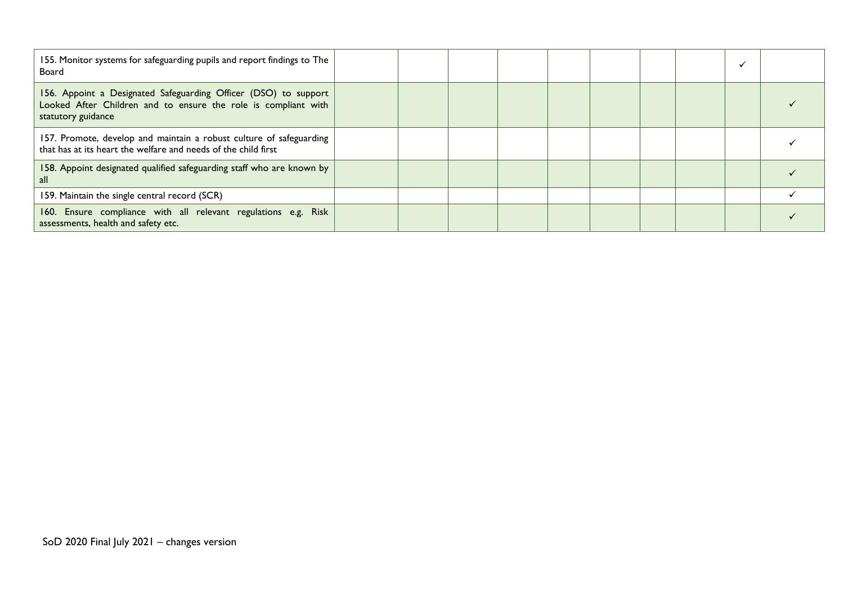| 155. Monitor systems for safeguarding pupils and report findings to The<br>Board                                                                        |  |  |  |  |  |
|---------------------------------------------------------------------------------------------------------------------------------------------------------|--|--|--|--|--|
| 156. Appoint a Designated Safeguarding Officer (DSO) to support<br>Looked After Children and to ensure the role is compliant with<br>statutory guidance |  |  |  |  |  |
| 157. Promote, develop and maintain a robust culture of safeguarding<br>that has at its heart the welfare and needs of the child first                   |  |  |  |  |  |
| 158. Appoint designated qualified safeguarding staff who are known by<br>all                                                                            |  |  |  |  |  |
| 159. Maintain the single central record (SCR)                                                                                                           |  |  |  |  |  |
| 160. Ensure compliance with all relevant regulations e.g. Risk<br>assessments, health and safety etc.                                                   |  |  |  |  |  |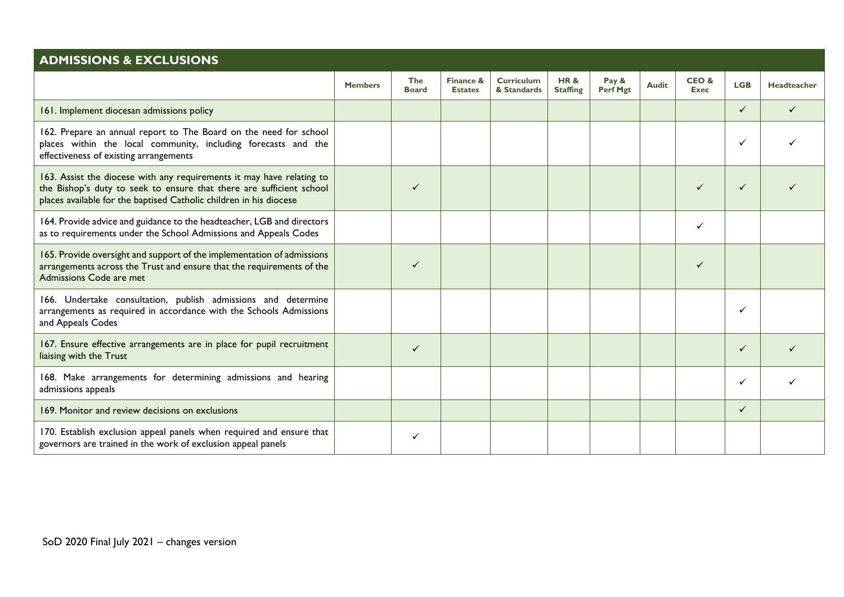| <b>ADMISSIONS &amp; EXCLUSIONS</b>                                                                                                                                                                                  |                |                            |                             |                                  |                                   |                          |              |                     |              |             |
|---------------------------------------------------------------------------------------------------------------------------------------------------------------------------------------------------------------------|----------------|----------------------------|-----------------------------|----------------------------------|-----------------------------------|--------------------------|--------------|---------------------|--------------|-------------|
|                                                                                                                                                                                                                     | <b>Members</b> | <b>The</b><br><b>Board</b> | Finance &<br><b>Estates</b> | <b>Curriculum</b><br>& Standards | <b>HR&amp;</b><br><b>Staffing</b> | Pay &<br><b>Perf Mgt</b> | <b>Audit</b> | CEO&<br><b>Exec</b> | <b>LGB</b>   | Headteacher |
| 161. Implement diocesan admissions policy                                                                                                                                                                           |                |                            |                             |                                  |                                   |                          |              |                     | ✓            |             |
| 162. Prepare an annual report to The Board on the need for school<br>places within the local community, including forecasts and the<br>effectiveness of existing arrangements                                       |                |                            |                             |                                  |                                   |                          |              |                     |              |             |
| 163. Assist the diocese with any requirements it may have relating to<br>the Bishop's duty to seek to ensure that there are sufficient school<br>places available for the baptised Catholic children in his diocese |                | ✓                          |                             |                                  |                                   |                          |              |                     | ✓            |             |
| 164. Provide advice and guidance to the headteacher, LGB and directors<br>as to requirements under the School Admissions and Appeals Codes                                                                          |                |                            |                             |                                  |                                   |                          |              | ✓                   |              |             |
| 165. Provide oversight and support of the implementation of admissions<br>arrangements across the Trust and ensure that the requirements of the<br>Admissions Code are met                                          |                | ✓                          |                             |                                  |                                   |                          |              |                     |              |             |
| 166. Undertake consultation, publish admissions and determine<br>arrangements as required in accordance with the Schools Admissions<br>and Appeals Codes                                                            |                |                            |                             |                                  |                                   |                          |              |                     |              |             |
| 167. Ensure effective arrangements are in place for pupil recruitment<br>liaising with the Trust                                                                                                                    |                | ✓                          |                             |                                  |                                   |                          |              |                     | ✓            |             |
| 168. Make arrangements for determining admissions and hearing<br>admissions appeals                                                                                                                                 |                |                            |                             |                                  |                                   |                          |              |                     |              |             |
| 169. Monitor and review decisions on exclusions                                                                                                                                                                     |                |                            |                             |                                  |                                   |                          |              |                     | $\checkmark$ |             |
| 170. Establish exclusion appeal panels when required and ensure that<br>governors are trained in the work of exclusion appeal panels                                                                                |                | ✓                          |                             |                                  |                                   |                          |              |                     |              |             |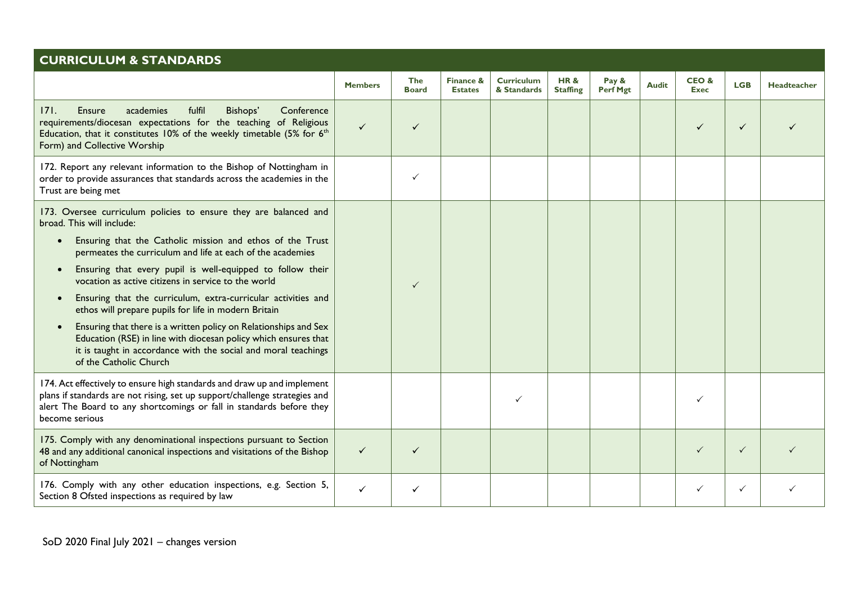| <b>CURRICULUM &amp; STANDARDS</b>                                                                                                                                                                                                                                |                |                            |                             |                                  |                                   |                   |              |                     |              |             |
|------------------------------------------------------------------------------------------------------------------------------------------------------------------------------------------------------------------------------------------------------------------|----------------|----------------------------|-----------------------------|----------------------------------|-----------------------------------|-------------------|--------------|---------------------|--------------|-------------|
|                                                                                                                                                                                                                                                                  | <b>Members</b> | <b>The</b><br><b>Board</b> | Finance &<br><b>Estates</b> | <b>Curriculum</b><br>& Standards | <b>HR&amp;</b><br><b>Staffing</b> | Pay &<br>Perf Mgt | <b>Audit</b> | CEO&<br><b>Exec</b> | <b>LGB</b>   | Headteacher |
| <b>Ensure</b><br>academies<br>fulfil<br>Bishops'<br>Conference<br>171.<br>requirements/diocesan expectations for the teaching of Religious<br>Education, that it constitutes 10% of the weekly timetable (5% for 6 <sup>th</sup><br>Form) and Collective Worship | $\checkmark$   | ✓                          |                             |                                  |                                   |                   |              | ✓                   | $\checkmark$ |             |
| 172. Report any relevant information to the Bishop of Nottingham in<br>order to provide assurances that standards across the academies in the<br>Trust are being met                                                                                             |                | $\checkmark$               |                             |                                  |                                   |                   |              |                     |              |             |
| 173. Oversee curriculum policies to ensure they are balanced and<br>broad. This will include:                                                                                                                                                                    |                |                            |                             |                                  |                                   |                   |              |                     |              |             |
| Ensuring that the Catholic mission and ethos of the Trust<br>$\bullet$<br>permeates the curriculum and life at each of the academies                                                                                                                             |                |                            |                             |                                  |                                   |                   |              |                     |              |             |
| Ensuring that every pupil is well-equipped to follow their<br>$\bullet$<br>vocation as active citizens in service to the world                                                                                                                                   |                | $\checkmark$               |                             |                                  |                                   |                   |              |                     |              |             |
| Ensuring that the curriculum, extra-curricular activities and<br>$\bullet$<br>ethos will prepare pupils for life in modern Britain                                                                                                                               |                |                            |                             |                                  |                                   |                   |              |                     |              |             |
| Ensuring that there is a written policy on Relationships and Sex<br>$\bullet$<br>Education (RSE) in line with diocesan policy which ensures that<br>it is taught in accordance with the social and moral teachings<br>of the Catholic Church                     |                |                            |                             |                                  |                                   |                   |              |                     |              |             |
| 174. Act effectively to ensure high standards and draw up and implement<br>plans if standards are not rising, set up support/challenge strategies and<br>alert The Board to any shortcomings or fall in standards before they<br>become serious                  |                |                            |                             |                                  |                                   |                   |              | ✓                   |              |             |
| 175. Comply with any denominational inspections pursuant to Section<br>48 and any additional canonical inspections and visitations of the Bishop<br>of Nottingham                                                                                                | $\checkmark$   | $\checkmark$               |                             |                                  |                                   |                   |              | $\checkmark$        | $\checkmark$ |             |
| 176. Comply with any other education inspections, e.g. Section 5,<br>Section 8 Ofsted inspections as required by law                                                                                                                                             | ✓              | ✓                          |                             |                                  |                                   |                   |              |                     | ✓            |             |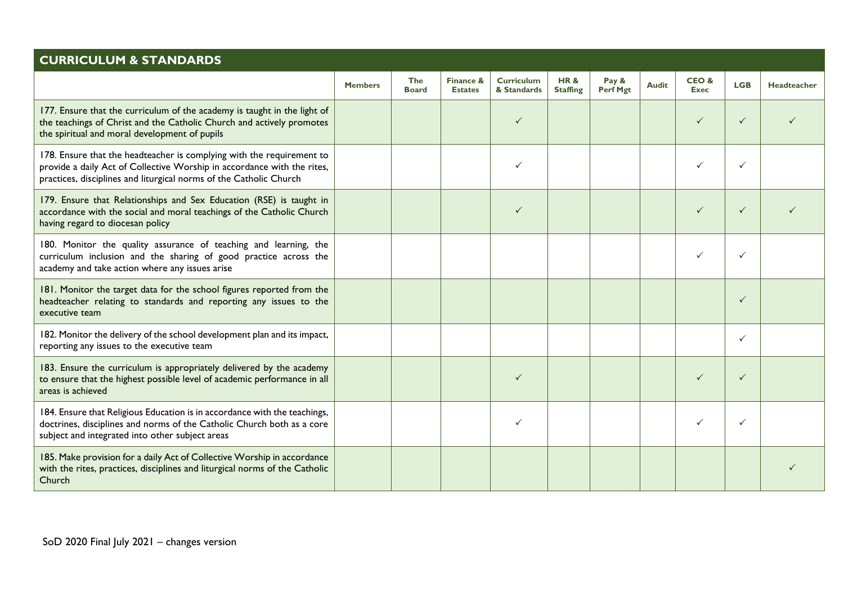| <b>CURRICULUM &amp; STANDARDS</b>                                                                                                                                                                                      |                |                            |                             |                                  |                                   |                          |              |                     |              |                    |
|------------------------------------------------------------------------------------------------------------------------------------------------------------------------------------------------------------------------|----------------|----------------------------|-----------------------------|----------------------------------|-----------------------------------|--------------------------|--------------|---------------------|--------------|--------------------|
|                                                                                                                                                                                                                        | <b>Members</b> | <b>The</b><br><b>Board</b> | Finance &<br><b>Estates</b> | <b>Curriculum</b><br>& Standards | <b>HR&amp;</b><br><b>Staffing</b> | Pay &<br><b>Perf Mgt</b> | <b>Audit</b> | CEO&<br><b>Exec</b> | <b>LGB</b>   | <b>Headteacher</b> |
| 177. Ensure that the curriculum of the academy is taught in the light of<br>the teachings of Christ and the Catholic Church and actively promotes<br>the spiritual and moral development of pupils                     |                |                            |                             | $\checkmark$                     |                                   |                          |              | $\checkmark$        | $\checkmark$ |                    |
| 178. Ensure that the headteacher is complying with the requirement to<br>provide a daily Act of Collective Worship in accordance with the rites,<br>practices, disciplines and liturgical norms of the Catholic Church |                |                            |                             |                                  |                                   |                          |              | ✓                   | $\checkmark$ |                    |
| 179. Ensure that Relationships and Sex Education (RSE) is taught in<br>accordance with the social and moral teachings of the Catholic Church<br>having regard to diocesan policy                                       |                |                            |                             | $\checkmark$                     |                                   |                          |              | $\checkmark$        | $\checkmark$ |                    |
| 180. Monitor the quality assurance of teaching and learning, the<br>curriculum inclusion and the sharing of good practice across the<br>academy and take action where any issues arise                                 |                |                            |                             |                                  |                                   |                          |              |                     | $\checkmark$ |                    |
| 181. Monitor the target data for the school figures reported from the<br>headteacher relating to standards and reporting any issues to the<br>executive team                                                           |                |                            |                             |                                  |                                   |                          |              |                     | $\checkmark$ |                    |
| 182. Monitor the delivery of the school development plan and its impact,<br>reporting any issues to the executive team                                                                                                 |                |                            |                             |                                  |                                   |                          |              |                     | $\checkmark$ |                    |
| 183. Ensure the curriculum is appropriately delivered by the academy<br>to ensure that the highest possible level of academic performance in all<br>areas is achieved                                                  |                |                            |                             |                                  |                                   |                          |              | $\checkmark$        | $\checkmark$ |                    |
| 184. Ensure that Religious Education is in accordance with the teachings,<br>doctrines, disciplines and norms of the Catholic Church both as a core<br>subject and integrated into other subject areas                 |                |                            |                             | ✓                                |                                   |                          |              | ✓                   | $\checkmark$ |                    |
| 185. Make provision for a daily Act of Collective Worship in accordance<br>with the rites, practices, disciplines and liturgical norms of the Catholic<br>Church                                                       |                |                            |                             |                                  |                                   |                          |              |                     |              |                    |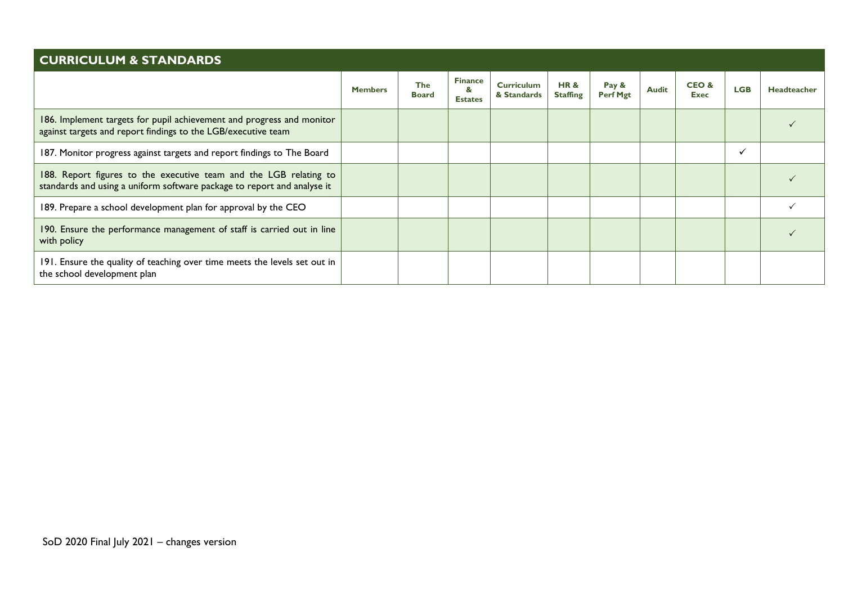| <b>CURRICULUM &amp; STANDARDS</b>                                                                                                            |                |                            |                                       |                                  |                        |                          |              |               |            |             |
|----------------------------------------------------------------------------------------------------------------------------------------------|----------------|----------------------------|---------------------------------------|----------------------------------|------------------------|--------------------------|--------------|---------------|------------|-------------|
|                                                                                                                                              | <b>Members</b> | <b>The</b><br><b>Board</b> | <b>Finance</b><br>&<br><b>Estates</b> | <b>Curriculum</b><br>& Standards | HR&<br><b>Staffing</b> | Pay &<br><b>Perf Mgt</b> | <b>Audit</b> | CEO &<br>Exec | <b>LGB</b> | Headteacher |
| 186. Implement targets for pupil achievement and progress and monitor<br>against targets and report findings to the LGB/executive team       |                |                            |                                       |                                  |                        |                          |              |               |            |             |
| 187. Monitor progress against targets and report findings to The Board                                                                       |                |                            |                                       |                                  |                        |                          |              |               |            |             |
| 188. Report figures to the executive team and the LGB relating to<br>standards and using a uniform software package to report and analyse it |                |                            |                                       |                                  |                        |                          |              |               |            |             |
| 189. Prepare a school development plan for approval by the CEO                                                                               |                |                            |                                       |                                  |                        |                          |              |               |            |             |
| 190. Ensure the performance management of staff is carried out in line<br>with policy                                                        |                |                            |                                       |                                  |                        |                          |              |               |            |             |
| 191. Ensure the quality of teaching over time meets the levels set out in<br>the school development plan                                     |                |                            |                                       |                                  |                        |                          |              |               |            |             |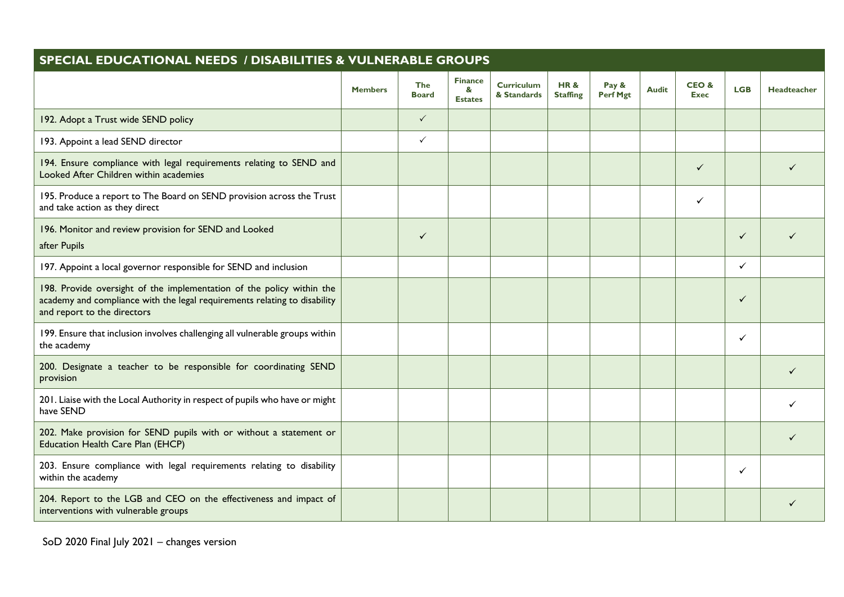| <b>SPECIAL EDUCATIONAL NEEDS / DISABILITIES &amp; VULNERABLE GROUPS</b>                                                                                                           |                |                            |                                       |                                  |                                   |                   |              |                     |              |             |
|-----------------------------------------------------------------------------------------------------------------------------------------------------------------------------------|----------------|----------------------------|---------------------------------------|----------------------------------|-----------------------------------|-------------------|--------------|---------------------|--------------|-------------|
|                                                                                                                                                                                   | <b>Members</b> | <b>The</b><br><b>Board</b> | <b>Finance</b><br>&<br><b>Estates</b> | <b>Curriculum</b><br>& Standards | <b>HR&amp;</b><br><b>Staffing</b> | Pay &<br>Perf Mgt | <b>Audit</b> | CEO&<br><b>Exec</b> | <b>LGB</b>   | Headteacher |
| 192. Adopt a Trust wide SEND policy                                                                                                                                               |                | $\checkmark$               |                                       |                                  |                                   |                   |              |                     |              |             |
| 193. Appoint a lead SEND director                                                                                                                                                 |                | $\checkmark$               |                                       |                                  |                                   |                   |              |                     |              |             |
| 194. Ensure compliance with legal requirements relating to SEND and<br>Looked After Children within academies                                                                     |                |                            |                                       |                                  |                                   |                   |              | ✓                   |              |             |
| 195. Produce a report to The Board on SEND provision across the Trust<br>and take action as they direct                                                                           |                |                            |                                       |                                  |                                   |                   |              | ✓                   |              |             |
| 196. Monitor and review provision for SEND and Looked<br>after Pupils                                                                                                             |                | $\checkmark$               |                                       |                                  |                                   |                   |              |                     | $\checkmark$ |             |
| 197. Appoint a local governor responsible for SEND and inclusion                                                                                                                  |                |                            |                                       |                                  |                                   |                   |              |                     | $\checkmark$ |             |
| 198. Provide oversight of the implementation of the policy within the<br>academy and compliance with the legal requirements relating to disability<br>and report to the directors |                |                            |                                       |                                  |                                   |                   |              |                     | ✓            |             |
| 199. Ensure that inclusion involves challenging all vulnerable groups within<br>the academy                                                                                       |                |                            |                                       |                                  |                                   |                   |              |                     | $\checkmark$ |             |
| 200. Designate a teacher to be responsible for coordinating SEND<br>provision                                                                                                     |                |                            |                                       |                                  |                                   |                   |              |                     |              |             |
| 201. Liaise with the Local Authority in respect of pupils who have or might<br>have SEND                                                                                          |                |                            |                                       |                                  |                                   |                   |              |                     |              |             |
| 202. Make provision for SEND pupils with or without a statement or<br>Education Health Care Plan (EHCP)                                                                           |                |                            |                                       |                                  |                                   |                   |              |                     |              |             |
| 203. Ensure compliance with legal requirements relating to disability<br>within the academy                                                                                       |                |                            |                                       |                                  |                                   |                   |              |                     | $\checkmark$ |             |
| 204. Report to the LGB and CEO on the effectiveness and impact of<br>interventions with vulnerable groups                                                                         |                |                            |                                       |                                  |                                   |                   |              |                     |              |             |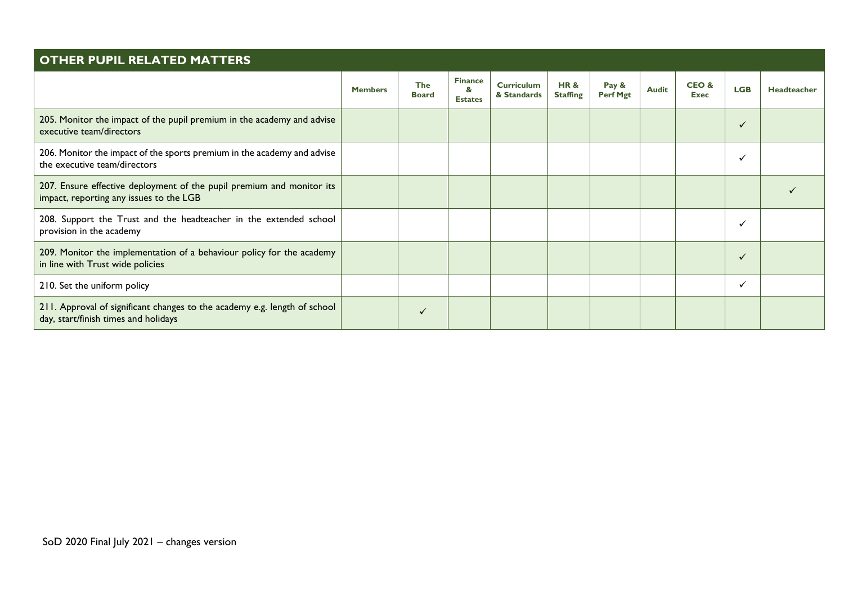| <b>OTHER PUPIL RELATED MATTERS</b>                                                                                |                |                            |                                       |                                  |                                   |                   |              |                     |            |                    |  |
|-------------------------------------------------------------------------------------------------------------------|----------------|----------------------------|---------------------------------------|----------------------------------|-----------------------------------|-------------------|--------------|---------------------|------------|--------------------|--|
|                                                                                                                   | <b>Members</b> | <b>The</b><br><b>Board</b> | <b>Finance</b><br>&<br><b>Estates</b> | <b>Curriculum</b><br>& Standards | <b>HR&amp;</b><br><b>Staffing</b> | Pay &<br>Perf Mgt | <b>Audit</b> | CEO&<br><b>Exec</b> | <b>LGB</b> | <b>Headteacher</b> |  |
| 205. Monitor the impact of the pupil premium in the academy and advise<br>executive team/directors                |                |                            |                                       |                                  |                                   |                   |              |                     |            |                    |  |
| 206. Monitor the impact of the sports premium in the academy and advise<br>the executive team/directors           |                |                            |                                       |                                  |                                   |                   |              |                     |            |                    |  |
| 207. Ensure effective deployment of the pupil premium and monitor its<br>impact, reporting any issues to the LGB  |                |                            |                                       |                                  |                                   |                   |              |                     |            |                    |  |
| 208. Support the Trust and the headteacher in the extended school<br>provision in the academy                     |                |                            |                                       |                                  |                                   |                   |              |                     |            |                    |  |
| 209. Monitor the implementation of a behaviour policy for the academy<br>in line with Trust wide policies         |                |                            |                                       |                                  |                                   |                   |              |                     | ✓          |                    |  |
| 210. Set the uniform policy                                                                                       |                |                            |                                       |                                  |                                   |                   |              |                     | ✓          |                    |  |
| 211. Approval of significant changes to the academy e.g. length of school<br>day, start/finish times and holidays |                | $\checkmark$               |                                       |                                  |                                   |                   |              |                     |            |                    |  |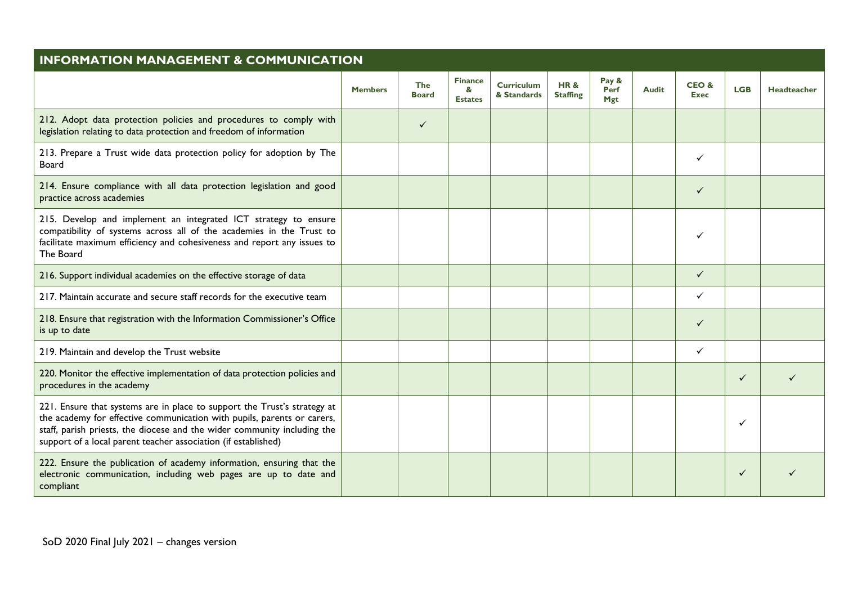| <b>INFORMATION MANAGEMENT &amp; COMMUNICATION</b>                                                                                                                                                                                                                                                 |                |                     |                                       |                                  |                                   |                             |              |                     |            |                    |
|---------------------------------------------------------------------------------------------------------------------------------------------------------------------------------------------------------------------------------------------------------------------------------------------------|----------------|---------------------|---------------------------------------|----------------------------------|-----------------------------------|-----------------------------|--------------|---------------------|------------|--------------------|
|                                                                                                                                                                                                                                                                                                   | <b>Members</b> | The<br><b>Board</b> | <b>Finance</b><br>&<br><b>Estates</b> | <b>Curriculum</b><br>& Standards | <b>HR&amp;</b><br><b>Staffing</b> | Pay &<br>Perf<br><b>Mgt</b> | <b>Audit</b> | CEO&<br><b>Exec</b> | <b>LGB</b> | <b>Headteacher</b> |
| 212. Adopt data protection policies and procedures to comply with<br>legislation relating to data protection and freedom of information                                                                                                                                                           |                | $\checkmark$        |                                       |                                  |                                   |                             |              |                     |            |                    |
| 213. Prepare a Trust wide data protection policy for adoption by The<br>Board                                                                                                                                                                                                                     |                |                     |                                       |                                  |                                   |                             |              | ✓                   |            |                    |
| 214. Ensure compliance with all data protection legislation and good<br>practice across academies                                                                                                                                                                                                 |                |                     |                                       |                                  |                                   |                             |              | $\checkmark$        |            |                    |
| 215. Develop and implement an integrated ICT strategy to ensure<br>compatibility of systems across all of the academies in the Trust to<br>facilitate maximum efficiency and cohesiveness and report any issues to<br>The Board                                                                   |                |                     |                                       |                                  |                                   |                             |              | ✓                   |            |                    |
| 216. Support individual academies on the effective storage of data                                                                                                                                                                                                                                |                |                     |                                       |                                  |                                   |                             |              | $\checkmark$        |            |                    |
| 217. Maintain accurate and secure staff records for the executive team                                                                                                                                                                                                                            |                |                     |                                       |                                  |                                   |                             |              | ✓                   |            |                    |
| 218. Ensure that registration with the Information Commissioner's Office<br>is up to date                                                                                                                                                                                                         |                |                     |                                       |                                  |                                   |                             |              | ✓                   |            |                    |
| 219. Maintain and develop the Trust website                                                                                                                                                                                                                                                       |                |                     |                                       |                                  |                                   |                             |              | ✓                   |            |                    |
| 220. Monitor the effective implementation of data protection policies and<br>procedures in the academy                                                                                                                                                                                            |                |                     |                                       |                                  |                                   |                             |              |                     | ✓          |                    |
| 221. Ensure that systems are in place to support the Trust's strategy at<br>the academy for effective communication with pupils, parents or carers,<br>staff, parish priests, the diocese and the wider community including the<br>support of a local parent teacher association (if established) |                |                     |                                       |                                  |                                   |                             |              |                     | ✓          |                    |
| 222. Ensure the publication of academy information, ensuring that the<br>electronic communication, including web pages are up to date and<br>compliant                                                                                                                                            |                |                     |                                       |                                  |                                   |                             |              |                     |            |                    |